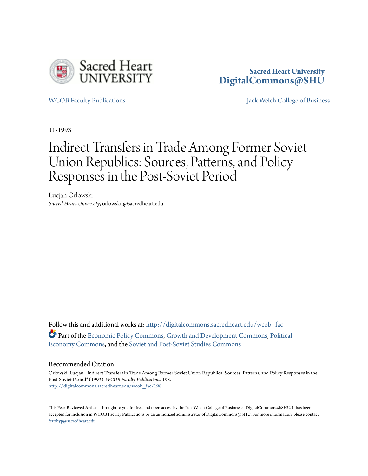

# **Sacred Heart University [DigitalCommons@SHU](http://digitalcommons.sacredheart.edu?utm_source=digitalcommons.sacredheart.edu%2Fwcob_fac%2F198&utm_medium=PDF&utm_campaign=PDFCoverPages)**

[WCOB Faculty Publications](http://digitalcommons.sacredheart.edu/wcob_fac?utm_source=digitalcommons.sacredheart.edu%2Fwcob_fac%2F198&utm_medium=PDF&utm_campaign=PDFCoverPages) [Jack Welch College of Business](http://digitalcommons.sacredheart.edu/wcob?utm_source=digitalcommons.sacredheart.edu%2Fwcob_fac%2F198&utm_medium=PDF&utm_campaign=PDFCoverPages)

11-1993

# Indirect Transfers in Trade Among Former Soviet Union Republics: Sources, Patterns, and Policy Responses in the Post-Soviet Period

Lucjan Orlowski *Sacred Heart University*, orlowskil@sacredheart.edu

Follow this and additional works at: [http://digitalcommons.sacredheart.edu/wcob\\_fac](http://digitalcommons.sacredheart.edu/wcob_fac?utm_source=digitalcommons.sacredheart.edu%2Fwcob_fac%2F198&utm_medium=PDF&utm_campaign=PDFCoverPages) Part of the [Economic Policy Commons,](http://network.bepress.com/hgg/discipline/1025?utm_source=digitalcommons.sacredheart.edu%2Fwcob_fac%2F198&utm_medium=PDF&utm_campaign=PDFCoverPages) [Growth and Development Commons,](http://network.bepress.com/hgg/discipline/346?utm_source=digitalcommons.sacredheart.edu%2Fwcob_fac%2F198&utm_medium=PDF&utm_campaign=PDFCoverPages) [Political](http://network.bepress.com/hgg/discipline/352?utm_source=digitalcommons.sacredheart.edu%2Fwcob_fac%2F198&utm_medium=PDF&utm_campaign=PDFCoverPages) [Economy Commons](http://network.bepress.com/hgg/discipline/352?utm_source=digitalcommons.sacredheart.edu%2Fwcob_fac%2F198&utm_medium=PDF&utm_campaign=PDFCoverPages), and the [Soviet and Post-Soviet Studies Commons](http://network.bepress.com/hgg/discipline/364?utm_source=digitalcommons.sacredheart.edu%2Fwcob_fac%2F198&utm_medium=PDF&utm_campaign=PDFCoverPages)

## Recommended Citation

Orlowski, Lucjan, "Indirect Transfers in Trade Among Former Soviet Union Republics: Sources, Patterns, and Policy Responses in the Post-Soviet Period" (1993). *WCOB Faculty Publications*. 198. [http://digitalcommons.sacredheart.edu/wcob\\_fac/198](http://digitalcommons.sacredheart.edu/wcob_fac/198?utm_source=digitalcommons.sacredheart.edu%2Fwcob_fac%2F198&utm_medium=PDF&utm_campaign=PDFCoverPages)

This Peer-Reviewed Article is brought to you for free and open access by the Jack Welch College of Business at DigitalCommons@SHU. It has been accepted for inclusion in WCOB Faculty Publications by an authorized administrator of DigitalCommons@SHU. For more information, please contact [ferribyp@sacredheart.edu](mailto:ferribyp@sacredheart.edu).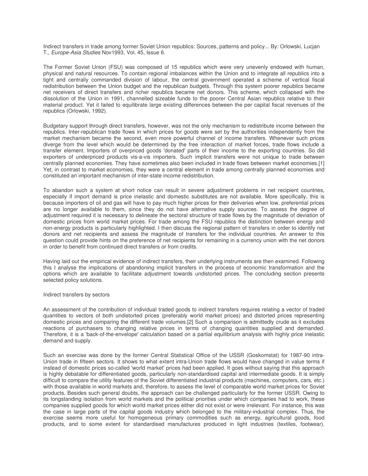Indirect transfers in trade among former Soviet Union republics: Sources, patterns and policy... By: Orlowski, Lucjan T., Europe-Asia Studies Nov1993, Vol. 45, Issue 6.

The Former Soviet Union (FSU) was composed of 15 republics which were very unevenly endowed with human, physical and natural resources. To contain regional imbalances within the Union and to integrate all republics into a tight and centrally commanded division of labour, the central government operated a scheme of vertical fiscal redistribution between the Union budget and the republican budgets. Through this system poorer republics became net receivers of direct transfers and richer republics became net donors. This scheme, which collapsed with the dissolution of the Union in 1991, channelled sizeable funds to the poorer Central Asian republics relative to their material product. Yet it failed to equilibrate large existing differences between the per capital fiscal revenues of the republics (Orlowski, 1992).

Budgetary support through direct transfers, however, was not the only mechanism to redistribute income between the republics. Inter-republican trade flows in which prices for goods were set by the authorities independently from the market mechanism became the second, even more powerful channel of income transfers. Whenever such prices diverge from the level which would be determined by the free interaction of market forces, trade flows include a transfer element. Importers of overpriced goods 'donated' parts of their income to the exporting countries. So did exporters of underpriced products vis-a-vis importers. Such implicit transfers were not unique to trade between centrally planned economies. They have sometimes also been included in trade flows between market economies.[1] Yet, in contrast to market economies, they were a central element in trade among centrally planned economies and constituted an important mechanism of inter-state income redistribution.

To abandon such a system at short notice can result in severe adjustment problems in net recipient countries, especially if import demand is price inelastic and domestic substitutes are not available. More specifically, this is because importers of oil and gas will have to pay much higher prices for their deliveries when low, preferential prices are no longer available to them, since they do not have alternative supply sources. To assess the degree of adjustment required it is necessary to delineate the sectoral structure of trade flows by the magnitude of deviation of domestic prices from world market prices. For trade among the FSU republics the distinction between energy and non-energy products is particularly highlighted. I then discuss the regional pattern of transfers in order to identify net donors and net recipients and assess the magnitude of transfers for the individual countries. An answer to this question could provide hints on the preference of net recipients for remaining in a currency union with the net donors in order to benefit from continued direct transfers or from credits.

Having laid out the empirical evidence of indirect transfers, their underlying instruments are then examined. Following this I analyse the implications of abandoning implicit transfers in the process of economic transformation and the options which are available to facilitate adjustment towards undistorted prices. The concluding section presents selected policy solutions.

#### Indirect transfers by sectors

An assessment of the contribution of individual traded goods to indirect transfers requires relating a vector of traded quantities to vectors of both undistorted prices (preferably world market prices) and distorted prices representing domestic prices and comparing the different trade volumes.[2] Such a comparison is admittedly crude as it excludes reactions of purchasers to changing relative prices in terms of changing quantities supplied and demanded. Therefore, it is a 'back-of-the-envelope' calculation based on a partial equilibrium analysis with highly price inelastic demand and supply.

Such an exercise was done by the former Central Statistical Office of the USSR (Goskomstat) for 1987-90 intra-Union trade in fifteen sectors. It shows to what extent intra-Union trade flows would have changed in value terms if instead of domestic prices so-called 'world market' prices had been applied. It goes without saying that this approach is highly debatable for differentiated goods, particularly non-standardised capital and intermediate goods. It is simply difficult to compare the utility features of the Soviet differentiated industrial products (machines, computers, cars, etc.) with those available in world markets and, therefore, to assess the level of comparable world market prices for Soviet products. Besides such general doubts, the approach can be challenged particularly for the former USSR. Owing to its longstanding isolation from world markets and the political priorities under which companies had to work, these companies supplied goods for which world market prices either did not exist or were irrelevant. For instance, this was the case in large parts of the capital goods industry which belonged to the military-industrial complex. Thus, the exercise seems more useful for homogeneous primary commodities such as energy, agricultural goods, food products, and to some extent for standardised manufactures produced in light industries (textiles, footwear).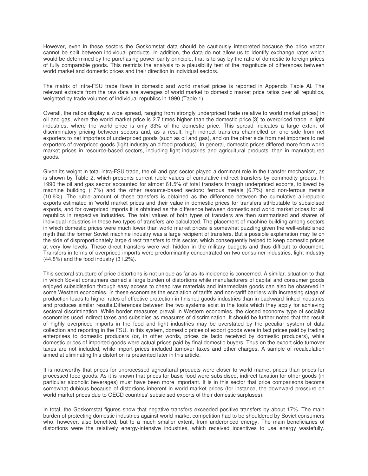However, even in these sectors the Goskomstat data should be cautiously interpreted because the price vector cannot be split between individual products. In addition, the data do not allow us to identify exchange rates which would be determined by the purchasing power parity principle, that is to say by the ratio of domestic to foreign prices of fully comparable goods. This restricts the analysis to a plausibility test of the magnitude of differences between world market and domestic prices and their direction in individual sectors.

The matrix of intra-FSU trade flows in domestic and world market prices is reported in Appendix Table Al. The relevant extracts from the raw data are averages of world market to domestic market price ratios over all republics, weighted by trade volumes of individual republics in 1990 (Table 1).

Overall, the ratios display a wide spread, ranging from strongly underpriced trade (relative to world market prices) in oil and gas, where the world market price is 2.7 times higher than the domestic price,[3] to overpriced trade in light industries, where the world price is only 33% of the domestic price. This spread indicates a large extent of discriminatory pricing between sectors and, as a result, high indirect transfers channelled on one side from net exporters to net importers of underpriced goods (such as oil and gas), and on the other side from net importers to net exporters of overpriced goods (light industry an.d food products). In general, domestic prices differed more from world market prices in resource-based sectors, including light industries and agricultural products, than in manufactured goods.

Given its weight in total intra-FSU trade, the oil and gas sector played a dominant role in the transfer mechanism, as is shown by Table 2, which presents current ruble values of cumulative indirect transfers by commodity groups. In 1990 the oil and gas sector accounted for almost 61.5% of total transfers through underpriced exports, followed by machine building (17%) and the other resource-based sectors: ferrous metals (6.7%) and non-ferrous metals (10.6%). The ruble amount of these transfers is obtained as the difference between the cumulative all-republic exports estimated in 'world market prices and their value in domestic prices for transfers attributable to subsidised exports, and for overpriced imports it is obtained as the difference between domestic and world market prices for all republics in respective industries. The total values of both types of transfers are then summarised and shares of individual industries in these two types of transfers are calculated. The placement of machine building among sectors in which domestic prices were much lower than world market prices is somewhat puzzling given the well-established myth that the former Soviet machine industry was a large recipient of transfers. But a possible explanation may lie on the side of disproportionately large direct transfers to this sector, which consequently helped to keep domestic prices at very low levels. These direct transfers were well hidden in the military budgets and thus difficult to document. Transfers in terms of overpriced imports were predominantly concentrated on two consumer industries, light industry (44.8%) and the food industry (31.2%).

This sectoral structure of price distortions is not unique as far as its incidence is concerned. A similar. situation to that in which Soviet consumers carried a large burden of distortions while manufacturers of capital and consumer goods enjoyed subsidisation through easy access to cheap raw materials and intermediate goods can also be observed in some Western economies. In these economies the escalation of tariffs and non-tariff barriers with increasing stage of production leads to higher rates of effective protection in finished goods industries than in backward-linked industries and produces similar results.Differences between the two systems exist in the tools which they apply for achieving sectoral discrimination. While border measures prevail in Western economies, the closed economy type of socialist economies used indirect taxes and subsidies as measures of discrimination. It should be further noted that the result of highly overpriced imports in the food and light industries may be overstated by the peculiar system of data collection and reporting in the FSU. In this system, domestic prices of export goods were in fact prices paid by trading enterprises to domestic producers (or, in other words, prices de facto received by domestic producers), while domestic prices of imported goods were actual prices paid by final domestic buyers. Thus on the export side turnover taxes are not included, while import prices included turnover taxes and other charges. A sample of recalculation aimed at eliminating this distortion is presented later in this article.

It is noteworthy that prices for unprocessed agricultural products were closer to world market prices than prices for processed food goods. As it is known that prices for basic food were subsidised, indirect taxation for other goods (in particular alcoholic beverages) must have been more important. It is in this sector that price comparisons become somewhat dubious because of distortions inherent in world market prices (for instance, the downward pressure on world market prices due to OECD countries' subsidised exports of their domestic surpluses).

In total, the Goskomstat figures show that negative transfers exceeded positive transfers by about 17%. The main burden of protecting domestic industries against world market competition had to be shouldered by Soviet consumers who, however, also benefited, but to a much smaller extent, from underpriced energy. The main beneficiaries of distortions were the relatively energy-intensive industries, which received incentives to use energy wastefully.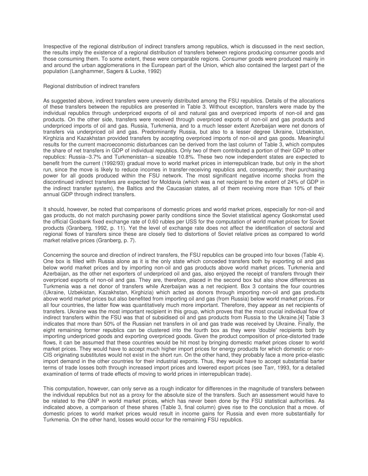Irrespective of the regional distribution of indirect transfers among republics, which is discussed in the next section, the results imply the existence of a regional distribution of transfers between regions producing consumer goods and those consuming them. To some extent, these were comparable regions. Consumer goods were produced mainly in and around the urban agglomerations in the European part of the Union, which also contained the largest part of the population (Langhammer, Sagers & Lucke, 1992)

## Regional distribution of indirect transfers

As suggested above, indirect transfers were unevenly distributed among the FSU republics. Details of the allocations of these transfers between the republics are presented in Table 3. Without exception, transfers were made by the individual republics through underpriced exports of oil and natural gas and overpriced imports of non-oil and gas products. On the other side, transfers were received through overpriced exports of non-oil and gas products and underpriced imports of oil and gas. Russia, Turkmenia, and to a much lesser extent Azerbaijan were net donors of transfers via underpriced oil and gas. Predominantly Russia, but also to a lesser degree Ukraine, Uzbekistan, Kirghizia and Kazakhstan provided transfers by accepting overpriced imports of non-oil and gas goods. Meaningful results for the current macroeconomic disturbances can be derived from the last column of Table 3, which computes the share of net transfers in GDP of individual republics. Only two of them contributed a portion of their GDP to other republics: Russia--3.7% and Turkmenistan--a sizeable 10.8%. These two now independent states are expected to benefit from the current (1992/93) gradual move to world market prices in interrepublican trade, but only in the short run, since the move is likely to reduce incomes in transfer-receiving republics and, consequently; their purchasing power for all goods produced within the FSU network. The most significant negative income shocks from the discontinued indirect transfers are expected for Moldavia (which was a net recipient to the extent of 24% of GDP in the indirect transfer system), the Baltics and the Caucasian states, all of them receiving more than 10% of their annual GDP through indirect transfers.

It should, however, be noted that comparisons of domestic prices and world market prices, especially for non-oil and gas products, do not match purchasing power parity conditions since the Soviet statistical agency Goskomstat used the official Gosbank fixed exchange rate of 0.60 rubles per USS for the computation of world market prices for Soviet products (Granberg, 1992, p. 11). Yet the level of exchange rate does not affect the identification of sectoral and regional flows of transfers since these are closely tied to distortions of Soviet relative prices as compared to world market relative prices (Granberg, p. 7).

Concerning the source and direction of indirect transfers, the FSU republics can be grouped into four boxes (Table 4). One box is filled with Russia alone as it is the only state which conceded transfers both by exporting oil and gas below world market prices and by importing non-oil and gas products above world market prices. Turkmenia and Azerbaijan, as the other net exporters of underpriced oil and gas, also enjoyed the receipt of transfers through their overpriced exports of non-oil and gas. They are, therefore, placed in the second box but also show differences as Turkmenia was a net donor of transfers while Azerbaijan was a net recipient. Box 3 contains the four countries (Ukraine, Uzbekistan, Kazakhstan, Kirghizia) which acted as donors through importing non-oil and gas products above world market prices but also benefited from importing oil and gas (from Russia) below world market prices. For all four countries, the latter flow was quantitatively much more important. Therefore, they appear as net recipients of transfers. Ukraine was the most important recipient in this group, which proves that the most crucial individual flow of indirect transfers within the FSU was that of subsidised oil and gas products from Russia to the Ukraine.[4] Table 3 indicates that more than 50% of the Russian net transfers in oil and gas trade was received by Ukraine. Finally, the eight remaining former republics can be clustered into the fourth box as they were 'double' recipients both by importing underpriced goods and exporting overpriced goods. Given the product composition of price-distorted trade flows, it can be assumed that these countries would be hit most by bringing domestic market prices closer to world market prices. They would have to accept much higher import prices for energy products for which domestic or non-CIS originating substitutes would not exist in the short run. On the other hand, they probably face a more price-elastic import demand in the other countries for their industrial exports. Thus, they would have to accept substantial barter terms of trade losses both through increased import prices and lowered export prices (see Tarr, 1993, for a detailed examination of terms of trade effects of moving to world prices in interrepublican trade).

This computation, however, can only serve as a rough indicator for differences in the magnitude of transfers between the individual republics but not as a proxy for the absolute size of the transfers. Such an assessment would have to be related to the GNP in world market prices, which has never been done by the FSU statistical authorities. As indicated above, a comparison of these shares (Table 3, final column) gives rise to the conclusion that a move. of domestic prices to world market prices would result in income gains for Russia and even more substantially for Turkmenia. On the other hand, losses would occur for the remaining FSU republics.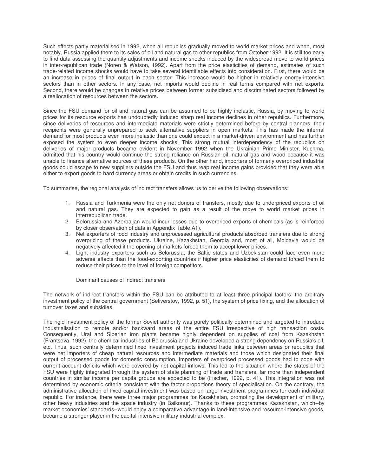Such effects partly materialised in 1992, when all republics gradually moved to world market prices and when, most notably, Russia applied them to its sales of oil and natural gas to other republics from October 1992. It is still too early to find data assessing the quantity adjustments and income shocks induced by the widespread move to world prices in inter-republican trade (Noren & Watson, 1992). Apart from the price elasticities of demand, estimates of such trade-related income shocks would have to take several identifiable effects into consideration. First, there would be an increase in prices of final output in each sector. This increase would be higher in relatively energy-intensive sectors than in other sectors. In any case, net imports would decline in real terms compared with net exports. Second, there would be changes in relative prices between former subsidised and discriminated sectors followed by a reallocation of resources between the sectors.

Since the FSU demand for oil and natural gas can be assumed to be highly inelastic, Russia, by moving to world prices for its resource exports has undoubtedly induced sharp real income declines in other republics. Furthermore, since deliveries of resources and intermediate materials were strictly determined before by central planners, their recipients were generally unprepared to seek alternative suppliers in open markets. This has made the internal demand for most products even more inelastic than one could expect in a market-driven environment and has further exposed the system to even deeper income shocks. This strong mutual interdependency of the republics on deliveries of major products became evident in November 1992 when the Ukrainian Prime Minister, Kuchma, admitted that his country would continue the strong reliance on Russian oil, natural gas and wood because it was unable to finance alternative sources of these products. On the other hand, importers of formerly overpriced industrial goods could escape to new suppliers outside the FSU and thus reap real income gains provided that they were able either to export goods to hard currency areas or obtain credits in such currencies.

To summarise, the regional analysis of indirect transfers allows us to derive the following observations:

- 1. Russia and Turkmenia were the only net donors of transfers, mostly due to underpriced exports of oil and natural gas. They are expected to gain as a result of the move to world market prices in interrepublican trade.
- 2. Belorussia and Azerbaijan would incur losses due to overpriced exports of chemicals (as is reinforced by closer observation of data in Appendix Table A1).
- 3. Net exporters of food industry and unprocessed agricultural products absorbed transfers due to strong overpricing of these products. Ukraine, Kazakhstan, Georgia and, most of all, Moldavia would be negatively affected if the opening of markets forced them to accept lower prices.
- 4. Light industry exporters such as Belorussia, the Baltic states and Uzbekistan could face even more adverse effects than the food-exporting countries if higher price elasticities of demand forced them to reduce their prices to the level of foreign competitors.

Dominant causes of indirect transfers

The network of indirect transfers within the FSU can be attributed to at least three principal factors: the arbitrary investment policy of the central government (Seliverstov, 1992, p. 51), the system of price fixing, and the allocation of turnover taxes and subsidies.

The rigid investment policy of the former Soviet authority was purely politically determined and targeted to introduce industrialisation to remote and/or backward areas of the entire FSU irrespective of high transaction costs. Consequently, Ural and Siberian iron plants became highly dependent on supplies of coal from Kazakhstan (Frantseva, 1992), the chemical industries of Belorussia and Ukraine developed a strong dependency on Russia's oil, etc. Thus, such centrally determined fixed investment projects induced trade links between areas or republics that were net importers of cheap natural resources and intermediate materials and those which designated their final output of processed goods for domestic consumption. Importers of overpriced processed goods had to cope with current account deficits which were covered by net capital inflows. This led to the situation where the states of the FSU were highly integrated through the system of state planning of trade and transfers, far more than independent countries in similar income per capita groups are expected to be (Fischer, 1992, p. 41). This integration was not determined by economic criteria consistent with the factor proportions theory of specialisation. On the contrary, the administrative allocation of fixed capital investment was based on large investment programmes for each individual republic. For instance, there were three major programmes for Kazakhstan, promoting the development of military, other heavy industries and the space industry (in Baikonur). Thanks to these programmes Kazakhstan, which--by market economies' standards--would enjoy a comparative advantage in land-intensive and resource-intensive goods, became a stronger player in the capital-intensive military-industrial complex.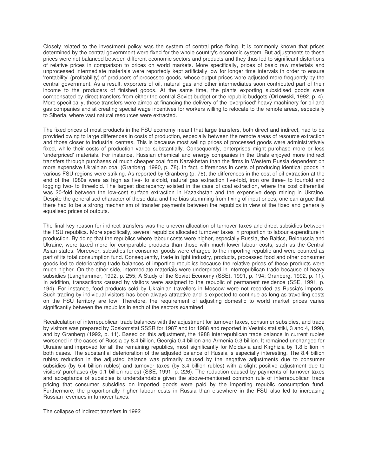Closely related to the investment policy was the system of central price fixing. It is commonly known that prices determined by the central government were fixed for the whole country's economic system. But adjustments to these prices were not balanced between different economic sectors and products and they thus led to significant distortions of relative prices in comparison to prices on world markets. More specifically, prices of basic raw materials and unprocessed intermediate materials were reportedly kept artificially low for longer time intervals in order to ensure 'rentability' (profitability) of producers of processed goods, whose output prices were adjusted more frequently by the central government. As a result, exporters of oil, natural gas and other intermediates soon contributed part of their income to the producers of finished goods. At the same time, the plants exporting subsidised goods were compensated by direct transfers from either the central Soviet budget or the republic budgets (**Orlowski**, 1992, p. 4). More specifically, these transfers were aimed at financing the delivery of the 'overpriced' heavy machinery for oil and gas companies and at creating special wage incentives for workers willing to relocate to the remote areas, especially to Siberia, where vast natural resources were extracted.

The fixed prices of most products in the FSU economy meant that large transfers, both direct and indirect, had to be provided owing to large differences in costs of production, especially between the remote areas of resource extraction and those closer to industrial centres. This is because most selling prices of processed goods were administratively fixed, while their costs of production varied substantially. Consequently, enterprises might purchase more or less 'underpriced' materials. For instance, Russian chemical and energy companies in the Urals enjoyed more indirect transfers through purchases of much cheaper coal from Kazakhstan than the firms in Western Russia dependent on more expensive Ukrainian coal (Granberg, 1990, p. 78). In fact, differences in costs of producing identical goods in various FSU regions were striking. As reported by Granberg (p. 78), the differences in the cost of oil extraction at the end of the 1980s were as high as five- to sixfold, natural gas extraction five-fold, iron ore three- to fourfold and logging two- to threefold. The largest discrepancy existed in the case of coal extraction, where the cost differential was 20-fold between the low-cost surface extraction in Kazakhstan and the expensive deep mining in Ukraine. Despite the generalised character of these data and the bias stemming from fixing of input prices, one can argue that there had to be a strong mechanism of transfer payments between the republics in view of the fixed and generally equalised prices of outputs.

The final key reason for indirect transfers was the uneven allocation of turnover taxes and direct subsidies between the FSU republics. More specifically, several republics allocated turnover taxes in proportion to labour expenditure in production. By doing that the republics where labour costs were higher, especially Russia, the Baltics, Belorussia and Ukraine, were taxed more for comparable products than those with much lower labour costs, such as the Central Asian states. Moreover, subsidies for consumer goods were charged to the importing republic and were counted as part of its total consumption fund. Consequently, trade in light industry, products, processed food and other consumer goods led to deteriorating trade balances of importing republics because the relative prices of these products were much higher. On the other side, intermediate materials were underpriced in interrepublican trade because of heavy subsidies (Langhammer, 1992, p. 255; A Study of the Soviet Economy (SSE), 1991, p. 194; Granberg, 1992, p. 11). In addition, transactions caused by visitors were assigned to the republic of permanent residence (SSE, 1991, p. 194). For instance, food products sold by Ukrainian travellers in Moscow were not recorded as Russia's imports. Such trading by individual visitors has been always attractive and is expected to continue as long as travelling costs on the FSU territory are low. Therefore, the requirement of adjusting domestic to world market prices varies significantly between the republics in each of the sectors examined.

Recalculation of interrepublican trade balances with the adjustment for turnover taxes, consumer subsidies, and trade by visitors was prepared by Goskomstat SSSR for 1987 and for 1988 and reported in Vestnik statistiki, 3 and 4, 1990, and by Granberg (1992, p. 11). Based on this adjustment, the 1988 interrepublican trade balance in current rubles worsened in the cases of Russia by 8.4 billion, Georgia 0.4 billion and Armenia 0.3 billion. It remained unchanged for Ukraine and improved for all the remaining republics, most significantly for Moldavia and Kirghizia by 1.8 billion in both cases. The substantial deterioration of the adjusted balance of Russia is especially interesting. The 8.4 billion rubles reduction in the adjusted balance was primarily caused by the negative adjustments due to consumer subsidies (by 5.4 billion rubles) and turnover taxes (by 3.4 billion rubles) with a slight positive adjustment due to visitors' purchases (by 0.1 billion rubles) (SSE, 1991, p. 226). The reduction caused by payments of turnover taxes and acceptance of subsidies is understandable given the above-mentioned common rule of interrepublican trade pricing that consumer subsidies on imported goods were paid by the importing republic consumption fund. Furthermore, the proportionally higher labour costs in Russia than elsewhere in the FSU also led to increasing Russian revenues in turnover taxes.

The collapse of indirect transfers in 1992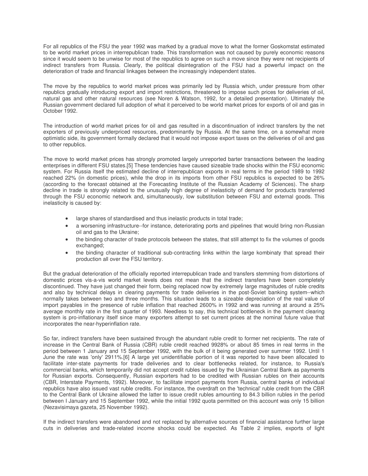For all republics of the FSU the year 1992 was marked by a gradual move to what the former Goskomstat estimated to be world market prices in interrepublican trade. This transformation was not caused by purely economic reasons since it would seem to be unwise for most of the republics to agree on such a move since they were net recipients of indirect transfers from Russia. Clearly, the political disintegration of the FSU had a powerful impact on the deterioration of trade and financial linkages between the increasingly independent states.

The move by the republics to world market prices was primarily led by Russia which, under pressure from other republics gradually introducing export and import restrictions, threatened to impose such prices for deliveries of oil, natural gas and other natural resources (see Noren & Watson, 1992, for a detailed presentation). Ultimately the Russian government declared full adoption of what it perceived to be world market prices for exports of oil and gas in October 1992.

The introduction of world market prices for oil and gas resulted in a discontinuation of indirect transfers by the net exporters of previously underpriced resources, predominantly by Russia. At the same time, on a somewhat more optimistic side, its government formally declared that it would not impose export taxes on the deliveries of oil and gas to other republics.

The move to world market prices has strongly promoted largely unreported barter transactions between the leading enterprises in different FSU states.[5] These tendencies have caused sizeable trade shocks within the FSU economic system. For Russia itself the estimated decline of interrepublican exports in real terms in the period 1989 to 1992 reached 22% (in domestic prices), while the drop in its imports from other FSU republics is expected to be 26% (according to the forecast obtained at the Forecasting Institute of the Russian Academy of Sciences). The sharp decline in trade is strongly related to the unusually high degree of inelasticity of demand for products transferred through the FSU economic network and, simultaneously, low substitution between FSU and external goods. This inelasticity is caused by:

- large shares of standardised and thus inelastic products in total trade;
- a worsening infrastructure--for instance, deteriorating ports and pipelines that would bring non-Russian oil and gas to the Ukraine;
- the binding character of trade protocols between the states, that still attempt to fix the volumes of goods exchanged;
- the binding character of traditional sub-contracting links within the large kombinaty that spread their production all over the FSU territory.

But the gradual deterioration of the officially reported interrepublican trade and transfers stemming from distortions of domestic prices vis-a-vis world market levels does not mean that the indirect transfers have been completely discontinued. They have just changed their form, being replaced now by extremely large magnitudes of ruble credits and also by technical delays in clearing payments for trade deliveries in the post-Soviet banking system--which normally takes between two and three months. This situation leads to a sizeable depreciation of the real value of import payables in the presence of ruble inflation that reached 2600% in 1992 and was running at around a 25% average monthly rate in the first quarter of 1993. Needless to say, this technical bottleneck in the payment clearing system is pro-inflationary itself since many exporters attempt to set current prices at the nominal future value that incorporates the near-hyperinflation rate.

So far, indirect transfers have been sustained through the abundant ruble credit to former net recipients. The rate of increase in the Central Bank of Russia (CBR) ruble credit reached 9928% or about 85 times in real terms in the period between 1 January and 15 September 1992, with the bulk of it being generated over summer 1992. Until 1 June the rate was 'only' 2911%.[6] A large yet unidentifiable portion of it was reported to have been allocated to facilitate inter-state payments for trade deliveries and to clear bottlenecks related, for instance, to Russia's commercial banks, which temporarily did not accept credit rubles issued by the Ukrainian Central Bank as payments for Russian exports. Consequently, Russian exporters had to be credited with Russian rubles on their accounts (CBR, Interstate Payments, 1992). Moreover, to facilitate import payments from Russia, central banks of individual republics have also issued vast ruble credits. For instance, the overdraft on the 'technical' ruble credit from the CBR to the Central Bank of Ukraine allowed the latter to issue credit rubles amounting to 84.3 billion rubles in the period between I January and 15 September 1992, while the initial 1992 quota permitted on this account was only 15 billion (Nezavisimaya gazeta, 25 November 1992).

If the indirect transfers were abandoned and not replaced by alternative sources of financial assistance further large cuts in deliveries and trade-related income shocks could be expected. As Table 2 implies, exports of light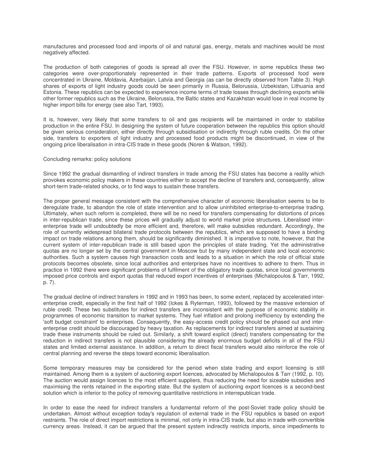manufactures and processed food and imports of oil and natural gas, energy, metals and machines would be most negatively affected.

The production of both categories of goods is spread all over the FSU. However, in some republics these two categories were over-proportionately represented in their trade patterns. Exports of processed food were concentrated in Ukraine, Moldavia, Azerbaijan, Latvia and Georgia (as can be directly observed from Table 3). High shares of exports of light industry goods could be seen primarily in Russia, Belorussia, Uzbekistan, Lithuania and Estonia. These republics can be expected to experience income terms of trade losses through declining exports while other former republics such as the Ukraine, Belorussia, the Baltic states and Kazakhstan would lose in real income by higher import bills for energy (see also Tart, 1993).

It is, however, very likely that some transfers to oil and gas recipients will be maintained in order to stabilise production in the entire FSU. In designing the system of future cooperation between the republics this option should be given serious consideration, either directly through subsidisation or indirectly through ruble credits. On the other side, transfers to exporters of light industry and processed food products might be discontinued, in view of the ongoing price liberalisation in intra-CIS trade in these goods (Noren & Watson, 1992).

## Concluding remarks: policy solutions

Since 1992 the gradual dismantling of indirect transfers in trade among the FSU states has become a reality which provokes economic policy makers in these countries either to accept the decline of transfers and, consequently, allow short-term trade-related shocks, or to find ways to sustain these transfers.

The proper general message consistent with the comprehensive character of economic liberalisation seems to be to deregulate trade, to abandon the role of state intervention and to allow uninhibited enterprise-to-enterprise trading. Ultimately, when such reform is completed, there will be no need for transfers compensating for distortions of prices in inter-republican trade, since these prices will gradually adjust to world market price structures. Liberalised interenterprise trade will undoubtedly be more efficient and, therefore, will make subsidies redundant. Accordingly, the role of currently widespread bilateral trade protocols between the republics, which are supposed to have a binding impact on trade relations among them, should be significantly diminished. It is imperative to note, however, that the current system of inter-republican trade is still based upon the principles of state trading. Yet the administrative quotas are no longer set by the central government in Moscow but by many independent state and local economic authorities. Such a system causes high transaction costs and leads to a situation in which the role of official state protocols becomes obsolete, since local authorities and enterprises have no incentives to adhere to them. Thus in practice in 1992 there were significant problems of fulfilment of the obligatory trade quotas, since local governments imposed price controls and export quotas that reduced export incentives of enterprises (Michalopoulos & Tarr, 1992, p. 7).

The gradual decline of indirect transfers in 1992 and in 1993 has been, to some extent, replaced by accelerated interenterprise credit, especially in the first half of 1992 (Ickes & Ryterman, 1993), followed by the massive extension of ruble credit. These two substitutes for indirect transfers are inconsistent with the purpose of economic stability in programmes of economic transition to market systems. They fuel inflation and prolong inefficiency by extending the 'soft budget constraint' to enterprises. Consequently, the easy-access credit policy should be phased out and interenterprise credit should be discouraged by heavy taxation. As replacements for indirect transfers aimed at sustaining trade these instruments should be ruled out. Similarly, a shift toward explicit (direct) transfers compensating for the reduction in indirect transfers is not plausible considering the already enormous budget deficits in all of the FSU states and limited external assistance. In addition, a return to direct fiscal transfers would also reinforce the role of central planning and reverse the steps toward economic liberalisation.

Some temporary measures may be considered for the period when state trading and export licensing is still maintained. Among them is a system of auctioning export licences, advocated by Michalopoulos & Tarr (1992, p. 10). The auction would assign licences to the most efficient suppliers, thus reducing the need for sizeable subsidies and maximising the rents retained in the exporting state. But the system of auctioning export licences is a second-best solution which is inferior to the policy of removing quantitative restrictions in interrepublican trade.

In order to ease the need for indirect transfers a fundamental reform of the post-Soviet trade policy should be undertaken. Almost without exception today's regulation of external trade in the FSU republics is based on export restraints. The role of direct import restrictions is minimal, not only in intra-CIS trade, but also in trade with convertible currency areas. Instead, it can be argued that the present system indirectly restricts imports, since impediments to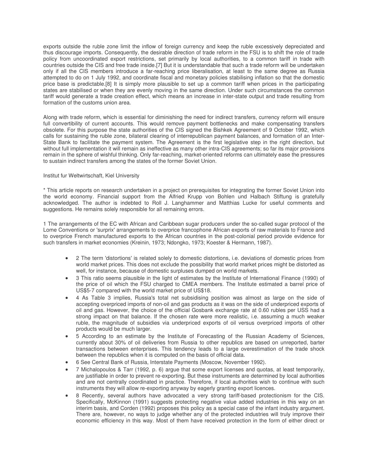exports outside the ruble zone limit the inflow of foreign currency and keep the ruble excessively depreciated and thus discourage imports. Consequently, the desirable direction of trade reform in the FSU is to shift the role of trade policy from uncoordinated export restrictions, set primarily by local authorities, to a common tariff in trade with countries outside the CIS and free trade inside.[7] But it is understandable that such a trade reform will be undertaken only if all the CIS members introduce a far-reaching price liberalisation, at least to the same degree as Russia attempted to do on 1 July 1992, and coordinate fiscal and monetary policies stabilising inflation so that the domestic price base is predictable.[8] It is simply more plausible to set up a common tariff when prices in the participating states are stabilised or when they are evenly moving in the same direction. Under such circumstances the common tariff would generate a trade creation effect, which means an increase in inter-state output and trade resulting from formation of the customs union area.

Along with trade reform, which is essential for diminishing the need for indirect transfers, currency reform will ensure full convertibility of current accounts. This would remove payment bottlenecks and make compensating transfers obsolete. For this purpose the state authorities of the CIS signed the Bishkek Agreement of 9 October 1992, which calls for sustaining the ruble zone, bilateral clearing of interrepublican payment balances, and formation of an Inter-State Bank to facilitate the payment system. The Agreement is the first legislative step in the right direction, but without full implementation it will remain as ineffective as many other intra-CIS agreements; so far its major provisions remain in the sphere of wishful thinking. Only far-reaching, market-oriented reforms can ultimately ease the pressures to sustain indirect transfers among the states of the former Soviet Union.

#### Institut fur Weltwirtschaft, Kiel University

\* This article reports on research undertaken in a project on prerequisites for integrating the former Soviet Union into the world economy. Financial support from the Alfried Krupp von Bohlen und Halbach Stiftung is gratefully acknowledged. The author is indebted to Roll J. Langhammer and Matthias Lucke for useful comments and suggestions. He remains solely responsible for all remaining errors.

1 The arrangements of the EC with African and Caribbean sugar producers under the so-called sugar protocol of the Lome Conventions or 'surprix' arrangements to overprice francophone African exports of raw materials to France and to overprice French manufactured exports to the African countries in the post-colonial period provide evidence for such transfers in market economies (Kreinin, 1973; Ndongko, 1973; Koester & Hermann, 1987).

- 2 The term 'distortions' is related solely to domestic distortions, i.e. deviations of domestic prices from world market prices. This does not exclude the possibility that world market prices might be distorted as well, for instance, because of domestic surpluses dumped on world markets.
- 3 This ratio seems plausible in the light of estimates by the Institute of International Finance (1990) of the price of oil which the FSU charged to CMEA members. The Institute estimated a barrel price of US\$5-7 compared with the world market price of US\$18.
- 4 As Table 3 implies, Russia's total net subsidising position was almost as large on the side of accepting overpriced imports of non-oil and gas products as it was on the side of underpriced exports of oil and gas. However, the choice of the official Gosbank exchange rate at 0.60 rubles per USS had a strong impact on that balance. If the chosen rate were more realistic, i.e. assuming a much weaker ruble, the magnitude of subsidies via underpriced exports of oil versus overpriced imports of other products would be much larger.
- 5 According to an estimate by the Institute of Forecasting of the Russian Academy of Sciences, currently about 30% of oil deliveries from Russia to other republics are based on unreported, barter transactions between enterprises. This tendency leads to a large overestimation of the trade shock between the republics when it is computed on the basis of official data.
- 6 See Central Bank of Russia, Interstate Payments (Moscow, November 1992).
- 7 Michalopoulos & Tarr (1992, p. 6) argue that some export licenses and quotas, at least temporarily, are justifiable in order to prevent re-exporting. But these instruments are determined by local authorities and are not centrally coordinated in practice. Therefore, if local authorities wish to continue with such instruments they will allow re-exporting anyway by eagerly granting export licences.
- 8 Recently, several authors have advocated a very strong tariff-based protectionism for the CIS. Specifically, McKinnon (1991) suggests protecting negative value added industries in this way on an interim basis, and Corden (1992) proposes this policy as a special case of the infant industry argument. There are, however, no ways to judge whether any of the protected industries will truly improve their economic efficiency in this way. Most of them have received protection in the form of either direct or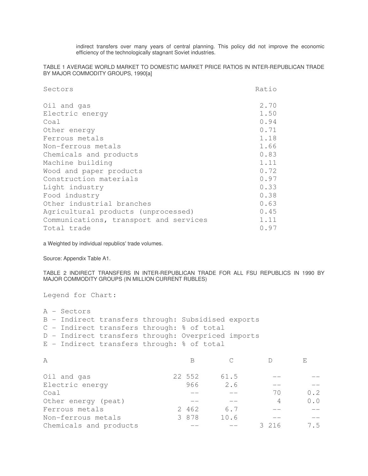indirect transfers over many years of central planning. This policy did not improve the economic efficiency of the technologically stagnant Soviet industries.

TABLE 1 AVERAGE WORLD MARKET TO DOMESTIC MARKET PRICE RATlOS IN INTER-REPUBLICAN TRADE BY MAJOR COMMODITY GROUPS, 1990[a]

| Sectors                                | Ratio |
|----------------------------------------|-------|
| Oil and gas                            | 2.70  |
| Electric energy                        | 1.50  |
| Coal                                   | 0.94  |
| Other energy                           | 0.71  |
| Ferrous metals                         | 1.18  |
| Non-ferrous metals                     | 1.66  |
| Chemicals and products                 | 0.83  |
| Machine building                       | 1.11  |
| Wood and paper products                | 0.72  |
| Construction materials                 | 0.97  |
| Light industry                         | 0.33  |
| Food industry                          | 0.38  |
| Other industrial branches              | 0.63  |
| Agricultural products (unprocessed)    | 0.45  |
| Communications, transport and services | 1.11  |
| Total trade                            | 0.97  |

a Weighted by individual republics' trade volumes.

Source: Appendix Table A1.

TABLE 2 INDIRECT TRANSFERS IN INTER-REPUBLICAN TRADE FOR ALL FSU REPUBLICS IN 1990 BY MAJOR COMMODITY GROUPS (IN MILLION CURRENT RUBLES)

Legend for Chart:

|      | A - Sectors     |                                                    |        |      |     |    |   |
|------|-----------------|----------------------------------------------------|--------|------|-----|----|---|
|      |                 | B - Indirect transfers through: Subsidised exports |        |      |     |    |   |
|      |                 | C - Indirect transfers through: % of total         |        |      |     |    |   |
|      |                 | D - Indirect transfers through: Overpriced imports |        |      |     |    |   |
|      |                 | E - Indirect transfers through: % of total         |        |      |     |    |   |
|      |                 |                                                    |        |      |     |    |   |
| A    |                 |                                                    | B      |      |     |    | E |
|      |                 |                                                    |        |      |     |    |   |
|      | Oil and gas     |                                                    | 22 552 | 61.5 |     |    |   |
|      | Electric energy |                                                    | 966    |      | 2.6 |    |   |
| Coal |                 |                                                    |        |      |     | 70 |   |

Other energy (peat)  $-- -- 4$  0.0 Ferrous metals  $2\,462\,6.7$   $-$ Non-ferrous metals 3 878 10.6 -- - -Chemicals and products  $--- 3 216 7.5$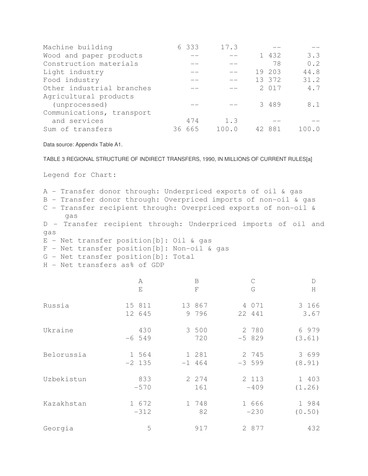| Machine building          | 6 333  | 17.3  |        |       |
|---------------------------|--------|-------|--------|-------|
| Wood and paper products   |        |       | 1 432  | 3.3   |
| Construction materials    |        |       | 78     | 0.2   |
| Light industry            |        |       | 19 203 | 44.8  |
| Food industry             |        |       | 13 372 | 31.2  |
| Other industrial branches |        |       | 2 017  | 4.7   |
| Agricultural products     |        |       |        |       |
| (unprocessed)             |        |       | 3 489  | 8.1   |
| Communications, transport |        |       |        |       |
| and services              | 474    | 1.3   |        |       |
| Sum of transfers          | 36 665 | 100.0 | 42 881 | 100.0 |

Data source: Appendix Table A1.

TABLE 3 REGIONAL STRUCTURE OF INDIRECT TRANSFERS, 1990, IN MILLIONS OF CURRENT RULES[a]

Legend for Chart:

A - Transfer donor through: Underpriced exports of oil & gas B - Transfer donor through: Overpriced imports of non-oil & gas C - Transfer recipient through: Overpriced exports of non-oil & gas D - Transfer recipient through: Underpriced imports of oil and gas E - Net transfer position[b]: Oil & gas F - Net transfer position[b]: Non-oil & gas G - Net transfer position[b]: Total H - Net transfers as% of GDP

|            | A        | B          | С         | $\mathbb D$ |
|------------|----------|------------|-----------|-------------|
|            | Ε        | $_{\rm F}$ | G         | $\rm H$     |
| Russia     | 15 811   | 13 867     | 4 0 7 1   | 3 166       |
|            | 12 645   | 9 796      | 22 441    | 3.67        |
| Ukraine    | 430      | 3 500      | 2 780     | 6 979       |
|            | $-6$ 549 | 720        | $-5829$   | (3.61)      |
| Belorussia | 1 564    | 1 281      | 2 745     | 3 699       |
|            | $-2$ 135 | $-1$ 464   | $-3, 599$ | (8.91)      |
| Uzbekistun | 833      | 2 2 7 4    | 2 113     | 1 403       |
|            | $-570$   | 161        | $-409$    | (1.26)      |
| Kazakhstan | 1 672    | 1 748      | 1 666     | 1 984       |
|            | $-312$   | 82         | $-230$    | (0.50)      |
| Georgia    | 5        | 917        | 2 877     | 432         |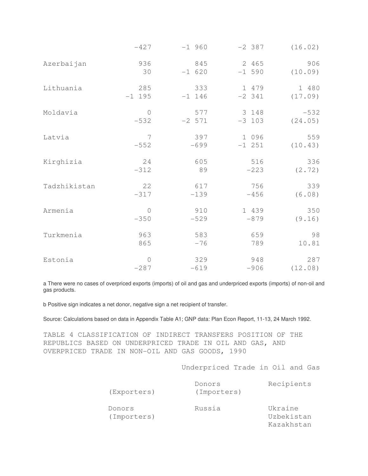|              | $-427$         | $-1$ 960 | $-2$ 387 | (16.02) |
|--------------|----------------|----------|----------|---------|
| Azerbaijan   | 936            | 845      | 2 465    | 906     |
|              | 30             | $-1620$  | $-1$ 590 | (10.09) |
| Lithuania    | 285            | 333      | 1 479    | 1 480   |
|              | $-1$ 195       | $-1$ 146 | $-2$ 341 | (17.09) |
| Moldavia     | $\circ$        | 577      | 3 148    | $-532$  |
|              | $-532$         | $-2$ 571 | $-3$ 103 | (24.05) |
| Latvia       | $\overline{7}$ | 397      | 1 0 9 6  | 559     |
|              | $-552$         | $-699$   | $-1$ 251 | (10.43) |
| Kirghizia    | 24             | 605      | 516      | 336     |
|              | $-312$         | 89       | $-223$   | (2.72)  |
| Tadzhikistan | 22             | 617      | 756      | 339     |
|              | $-317$         | $-139$   | $-456$   | (6.08)  |
| Armenia      | $\sqrt{a}$     | 910      | 1 439    | 350     |
|              | $-350$         | $-529$   | $-879$   | (9.16)  |
| Turkmenia    | 963            | 583      | 659      | 98      |
|              | 865            | $-76$    | 789      | 10.81   |
| Estonia      | $\overline{0}$ | 329      | 948      | 287     |
|              | $-287$         | $-619$   | $-906$   | (12.08) |

a There were no cases of overpriced exports (imports) of oil and gas and underpriced exports (imports) of non-oil and gas products.

b Positive sign indicates a net donor, negative sign a net recipient of transfer.

Source: Calculations based on data in Appendix Table A1; GNP data: Plan Econ Report, 11-13, 24 March 1992.

TABLE 4 CLASSIFICATION OF INDIRECT TRANSFERS POSITION OF THE REPUBLICS BASED ON UNDERPRICED TRADE IN OIL AND GAS, AND OVERPRICED TRADE IN NON-OIL AND GAS GOODS, 1990

Underpriced Trade in Oil and Gas

| (Exporters)           | Donors<br>(Importers) | Recipients                          |
|-----------------------|-----------------------|-------------------------------------|
| Donors<br>(Importers) | Russia                | Ukraine<br>Uzbekistan<br>Kazakhstan |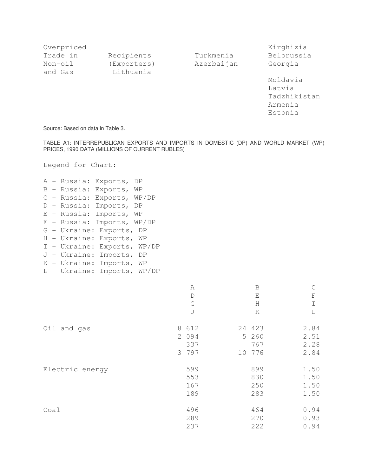Overpriced Kirghizia

Non-oil (Exporters) Azerbaijan Georgia and Gas Lithuania

Trade in Recipients Turkmenia Belorussia

 Moldavia Latvia Tadzhikistan Armenia Estonia

Source: Based on data in Table 3.

TABLE A1: INTERREPUBLICAN EXPORTS AND IMPORTS IN DOMESTIC (DP) AND WORLD MARKET (WP) PRICES, 1990 DATA (MILLIONS OF CURRENT RUBLES)

Legend for Chart:

|  | A - Russia: Exports,<br>DP   |
|--|------------------------------|
|  | B - Russia: Exports, WP      |
|  | C - Russia: Exports, WP/DP   |
|  | D - Russia: Imports, DP      |
|  | E - Russia: Imports, WP      |
|  | $F$ - Russia: Imports, WP/DP |
|  | G - Ukraine: Exports, DP     |
|  | H - Ukraine: Exports, WP     |
|  | I - Ukraine: Exports, WP/DP  |
|  | J - Ukraine: Imports, DP     |
|  | K - Ukraine: Imports, WP     |

L - Ukraine: Imports, WP/DP

|                 |   | A<br>$\mathbb D$<br>G<br>J     | $\, {\bf B}$<br>E<br>Η<br>Κ      | C<br>$\mathbf{F}$<br>I<br>L  |
|-----------------|---|--------------------------------|----------------------------------|------------------------------|
| Oil and gas     | 8 | 612<br>2 0 9 4<br>337<br>3 797 | 24 423<br>5 260<br>767<br>10 776 | 2.84<br>2.51<br>2.28<br>2.84 |
| Electric energy |   | 599<br>553<br>167<br>189       | 899<br>830<br>250<br>283         | 1.50<br>1.50<br>1.50<br>1.50 |
| Coal            |   | 496<br>289<br>237              | 464<br>270<br>222                | 0.94<br>0.93<br>0.94         |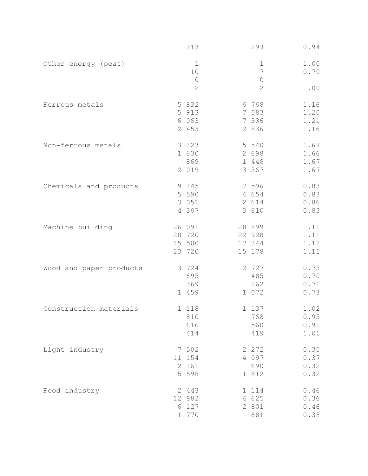|                         |                  | 313                                            |   | 293                                                                  | 0.94                               |
|-------------------------|------------------|------------------------------------------------|---|----------------------------------------------------------------------|------------------------------------|
| Other energy (peat)     |                  | $\mathbf 1$<br>10<br>$\circ$<br>$\overline{2}$ |   | $\mathbf 1$<br>$\overline{\phantom{a}}$<br>$\bigcirc$<br>$\mathbf 2$ | 1.00<br>0.70<br>$\qquad -$<br>1.00 |
| Ferrous metals          |                  | 5 832<br>5 913<br>6 063<br>2 453               |   | 6 768<br>7 083<br>7 336<br>2 836                                     | 1.16<br>1.20<br>1.21<br>1.16       |
| Non-ferrous metals      |                  | 3 3 2 3<br>1 630<br>869<br>2 019               |   | 5 540<br>2 698<br>1 448<br>3 367                                     | 1.67<br>1.66<br>1.67<br>1.67       |
| Chemicals and products  |                  | 9 145<br>5 5 9 0<br>3 0 5 1<br>4 367           |   | 7 596<br>4 654<br>2 614<br>3 610                                     | 0.83<br>0.83<br>0.86<br>0.83       |
| Machine building        | 20               | 26 091<br>720<br>15 500<br>13 720              |   | 28 899<br>22 928<br>17 344<br>15 178                                 | 1.11<br>1.11<br>1.12<br>1.11       |
| Wood and paper products |                  | 3 724<br>695<br>369<br>1 459                   |   | 2 727<br>485<br>262<br>1 072                                         | 0.73<br>0.70<br>0.71<br>0.73       |
| Construction materials  |                  | 1 118<br>810<br>616<br>414                     |   | 1 137<br>768<br>560<br>419                                           | 1.02<br>0.95<br>0.91<br>1.01       |
| Light industry          |                  | 7 502<br>11 154<br>2 161<br>5 5 9 8            |   | 2 2 7 2<br>4 097<br>690<br>1 812                                     | 0.30<br>0.37<br>0.32<br>0.32       |
| Food industry           | 6<br>$\mathbf 1$ | 2 443<br>12 882<br>127<br>770                  | 1 | 114<br>4 625<br>2 801<br>681                                         | 0.46<br>0.36<br>0.46<br>0.38       |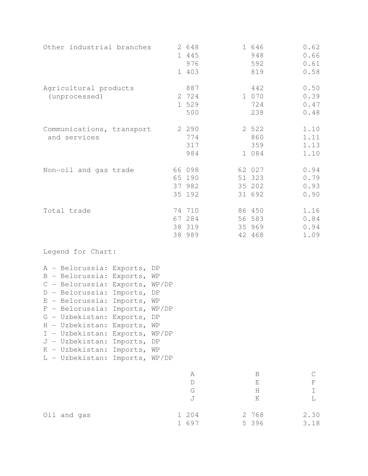| Other industrial branches                 | 2 648<br>1 445<br>976<br>1 403       | 1 646<br>948<br>592<br>819           | 0.62<br>0.66<br>0.61<br>0.58 |
|-------------------------------------------|--------------------------------------|--------------------------------------|------------------------------|
| Agricultural products<br>(unprocessed)    | 887<br>2 724<br>1 529<br>500         | 442<br>1 0 7 0<br>724<br>238         | 0.50<br>0.39<br>0.47<br>0.48 |
| Communications, transport<br>and services | 2 2 9 0<br>774<br>317<br>984         | 2 522<br>860<br>359<br>1 084         | 1.10<br>1.11<br>1.13<br>1.10 |
| Non-oil and gas trade                     | 66 098<br>65 190<br>37 982<br>35 192 | 62 027<br>51 323<br>35 202<br>31 692 | 0.94<br>0.79<br>0.93<br>0.90 |
| Total trade                               | 74 710<br>67 284<br>38 319<br>38 989 | 86 450<br>56 583<br>35 969<br>42 468 | 1.16<br>0.84<br>0.94<br>1.09 |

| A - Belorussia: Exports, DP<br>B - Belorussia: Exports, WP<br>C - Belorussia: Exports, WP/DP<br>D - Belorussia: Imports, DP<br>E - Belorussia: Imports, WP<br>F - Belorussia: Imports, WP/DP<br>G - Uzbekistan: Exports, DP<br>H - Uzbekistan: Exports, WP<br>I - Uzbekistan: Exports, WP/DP<br>J - Uzbekistan: Imports, DP<br>K - Uzbekistan: Imports, WP<br>L - Uzbekistan: Imports, WP/DP |  |                            |                  |                                 |
|----------------------------------------------------------------------------------------------------------------------------------------------------------------------------------------------------------------------------------------------------------------------------------------------------------------------------------------------------------------------------------------------|--|----------------------------|------------------|---------------------------------|
|                                                                                                                                                                                                                                                                                                                                                                                              |  | A<br>$\mathbb D$<br>G<br>J | B<br>Ε<br>H<br>K | $\mathbf F$<br>$\mathbf I$<br>L |
| Oil and gas                                                                                                                                                                                                                                                                                                                                                                                  |  | 1 204<br>1 697             | 2 768<br>5 3 9 6 | 2.30<br>3.18                    |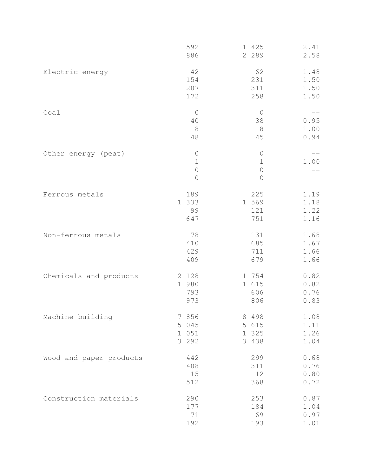|                         | 592                                             | 1 425                                           | 2.41                 |
|-------------------------|-------------------------------------------------|-------------------------------------------------|----------------------|
|                         | 886                                             | 2 289                                           | 2.58                 |
| Electric energy         | 42                                              | 62                                              | 1.48                 |
|                         | 154                                             | 231                                             | 1.50                 |
|                         | 207                                             | 311                                             | 1.50                 |
|                         | 172                                             | 258                                             | 1.50                 |
| Coal                    | $\circ$<br>40<br>8<br>48                        | $\bigcirc$<br>38<br>$\,8\,$<br>45               | 0.95<br>1.00<br>0.94 |
| Other energy (peat)     | $\circ$<br>$\mathbf 1$<br>$\bigcirc$<br>$\circ$ | $\bigcirc$<br>$1\,$<br>$\bigcirc$<br>$\bigcirc$ | 1.00                 |
| Ferrous metals          | 189                                             | 225                                             | 1.19                 |
|                         | 1 333                                           | 1 569                                           | 1.18                 |
|                         | 99                                              | 121                                             | 1.22                 |
|                         | 647                                             | 751                                             | 1.16                 |
| Non-ferrous metals      | 78                                              | 131                                             | 1.68                 |
|                         | 410                                             | 685                                             | 1.67                 |
|                         | 429                                             | 711                                             | 1.66                 |
|                         | 409                                             | 679                                             | 1.66                 |
| Chemicals and products  | 2 128                                           | 1 754                                           | 0.82                 |
|                         | 1 980                                           | 1 615                                           | 0.82                 |
|                         | 793                                             | 606                                             | 0.76                 |
|                         | 973                                             | 806                                             | 0.83                 |
| Machine building        | 7 856                                           | 8 4 9 8                                         | 1.08                 |
|                         | 5 045                                           | 5 615                                           | 1.11                 |
|                         | 1 051                                           | 1 325                                           | 1.26                 |
|                         | 3 2 9 2                                         | 3 438                                           | 1.04                 |
| Wood and paper products | 442                                             | 299                                             | 0.68                 |
|                         | 408                                             | 311                                             | 0.76                 |
|                         | 15                                              | 12                                              | 0.80                 |
|                         | 512                                             | 368                                             | 0.72                 |
| Construction materials  | 290                                             | 253                                             | 0.87                 |
|                         | 177                                             | 184                                             | 1.04                 |
|                         | 71                                              | 69                                              | 0.97                 |
|                         | 192                                             | 193                                             | 1.01                 |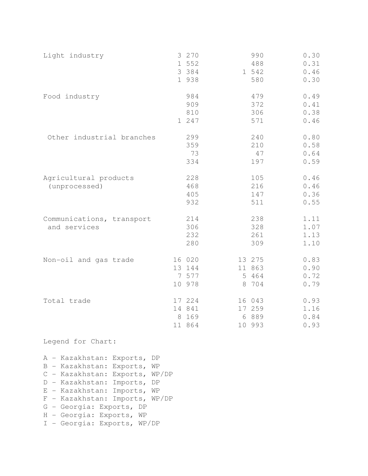| Light industry                            |   | 3 270<br>1 552<br>3 384<br>1 938    | 990<br>488<br>1 542<br>580          | 0.30<br>0.31<br>0.46<br>0.30 |
|-------------------------------------------|---|-------------------------------------|-------------------------------------|------------------------------|
| Food industry                             |   | 984<br>909<br>810<br>1 247          | 479<br>372<br>306<br>571            | 0.49<br>0.41<br>0.38<br>0.46 |
| Other industrial branches                 |   | 299<br>359<br>73<br>334             | 240<br>210<br>47<br>197             | 0.80<br>0.58<br>0.64<br>0.59 |
| Agricultural products<br>(unprocessed)    |   | 228<br>468<br>405<br>932            | 105<br>216<br>147<br>511            | 0.46<br>0.46<br>0.36<br>0.55 |
| Communications, transport<br>and services |   | 214<br>306<br>232<br>280            | 238<br>328<br>261<br>309            | 1.11<br>1.07<br>1.13<br>1.10 |
| Non-oil and gas trade                     |   | 16 020<br>13 144<br>7 577<br>10 978 | 13 275<br>11 863<br>5 464<br>8 704  | 0.83<br>0.90<br>0.72<br>0.79 |
| Total trade                               | 8 | 17 224<br>14 841<br>169<br>11 864   | 16 043<br>17 259<br>6 889<br>10 993 | 0.93<br>1.16<br>0.84<br>0.93 |

|  | A - Kazakhstan: Exports, DP    |  |
|--|--------------------------------|--|
|  | B - Kazakhstan: Exports, WP    |  |
|  | C - Kazakhstan: Exports, WP/DP |  |
|  | D - Kazakhstan: Imports, DP    |  |
|  | E - Kazakhstan: Imports, WP    |  |
|  | F - Kazakhstan: Imports, WP/DP |  |
|  | G - Georgia: Exports, DP       |  |
|  | H - Georgia: Exports, WP       |  |
|  | I - Georgia: Exports, WP/DP    |  |
|  |                                |  |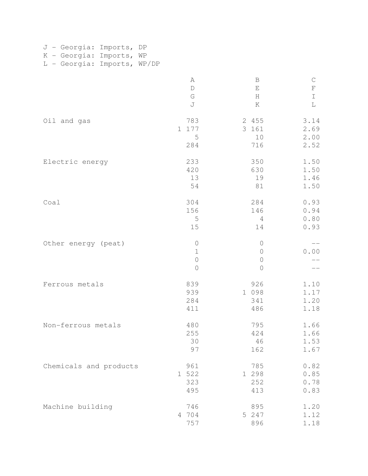| J - Georgia: Imports, DP<br>K - Georgia: Imports, WP<br>L - Georgia: Imports, WP/DP |                                                 |                                                      |               |
|-------------------------------------------------------------------------------------|-------------------------------------------------|------------------------------------------------------|---------------|
|                                                                                     | А                                               | $\mathbf B$                                          | $\mathsf C$   |
|                                                                                     | $\mathbb D$                                     | $\mathbf E$                                          | $\mathbf{F}$  |
|                                                                                     | $\mathbb{G}% _{M_{1},M_{2}}^{\alpha,\beta}$     | $\rm H$                                              | $\mathbbm{I}$ |
|                                                                                     | $\rm J$                                         | K                                                    | $\mathbb L$   |
| Oil and gas                                                                         | 783                                             | 2 455                                                | 3.14          |
|                                                                                     | 1 177                                           | 3 161                                                | 2.69          |
|                                                                                     | 5                                               | 10                                                   | 2.00          |
|                                                                                     | 284                                             | 716                                                  | 2.52          |
| Electric energy                                                                     | 233                                             | 350                                                  | 1.50          |
|                                                                                     | 420                                             | 630                                                  | 1.50          |
|                                                                                     | 13                                              | 19                                                   | 1.46          |
|                                                                                     | 54                                              | 81                                                   | 1.50          |
| Coal                                                                                | 304                                             | 284                                                  | 0.93          |
|                                                                                     | 156                                             | 146                                                  | 0.94          |
|                                                                                     | 5                                               | $\overline{4}$                                       | 0.80          |
|                                                                                     | 15                                              | 14                                                   | 0.93          |
| Other energy (peat)                                                                 | $\bigcirc$<br>$1\,$<br>$\bigcirc$<br>$\bigcirc$ | $\bigcirc$<br>$\bigcirc$<br>$\bigcirc$<br>$\bigcirc$ | $0.00$        |
| Ferrous metals                                                                      | 839                                             | 926                                                  | 1.10          |
|                                                                                     | 939                                             | 1 098                                                | 1.17          |
|                                                                                     | 284                                             | 341                                                  | 1.20          |
|                                                                                     | 411                                             | 486                                                  | 1.18          |
| Non-ferrous metals                                                                  | 480                                             | 795                                                  | 1.66          |
|                                                                                     | 255                                             | 424                                                  | 1.66          |
|                                                                                     | 30                                              | 46                                                   | 1.53          |
|                                                                                     | 97                                              | 162                                                  | 1.67          |
| Chemicals and products                                                              | 961                                             | 785                                                  | 0.82          |
|                                                                                     | 1 522                                           | 1 298                                                | 0.85          |
|                                                                                     | 323                                             | 252                                                  | 0.78          |
|                                                                                     | 495                                             | 413                                                  | 0.83          |
| Machine building                                                                    | 746                                             | 895                                                  | 1.20          |
|                                                                                     | 4 704                                           | 5 247                                                | 1.12          |
|                                                                                     | 757                                             | 896                                                  | 1.18          |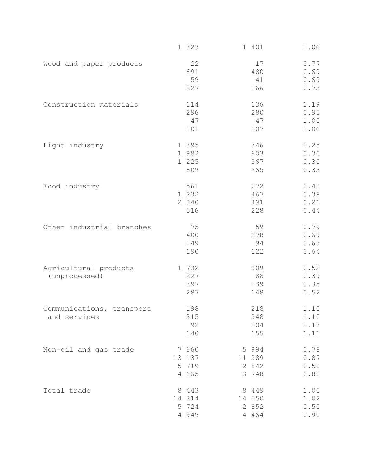|                                           | 1 323                      | 1 401                    | 1.06                         |
|-------------------------------------------|----------------------------|--------------------------|------------------------------|
| Wood and paper products                   | 22                         | 17                       | 0.77                         |
|                                           | 691                        | 480                      | 0.69                         |
|                                           | 59                         | 41                       | 0.69                         |
|                                           | 227                        | 166                      | 0.73                         |
| Construction materials                    | 114                        | 136                      | 1.19                         |
|                                           | 296                        | 280                      | 0.95                         |
|                                           | 47                         | 47                       | 1.00                         |
|                                           | 101                        | 107                      | 1.06                         |
| Light industry                            | 1 395                      | 346                      | 0.25                         |
|                                           | 1 982                      | 603                      | 0.30                         |
|                                           | 1 225                      | 367                      | 0.30                         |
|                                           | 809                        | 265                      | 0.33                         |
| Food industry                             | 561                        | 272                      | 0.48                         |
|                                           | 1 232                      | 467                      | 0.38                         |
|                                           | 2 340                      | 491                      | 0.21                         |
|                                           | 516                        | 228                      | 0.44                         |
| Other industrial branches                 | 75                         | 59                       | 0.79                         |
|                                           | 400                        | 278                      | 0.69                         |
|                                           | 149                        | 94                       | 0.63                         |
|                                           | 190                        | 122                      | 0.64                         |
| Agricultural products<br>(unprocessed)    | 1 732<br>227<br>397<br>287 | 909<br>88<br>139<br>148  | 0.52<br>0.39<br>0.35<br>0.52 |
| Communications, transport<br>and services | 198<br>315<br>92<br>140    | 218<br>348<br>104<br>155 | 1.10<br>1.10<br>1.13<br>1.11 |
| Non-oil and gas trade                     | 7 660                      | 5 9 9 4                  | 0.78                         |
|                                           | 13 137                     | 11 389                   | 0.87                         |
|                                           | 5 719                      | 2 842                    | 0.50                         |
|                                           | 4 665                      | 3 748                    | 0.80                         |
| Total trade                               | 8 4 4 3                    | 8 4 4 9                  | 1.00                         |
|                                           | 14 314                     | 14 550                   | 1.02                         |
|                                           | 5 724                      | 2 852                    | 0.50                         |
|                                           | 4 9 4 9                    | 4 464                    | 0.90                         |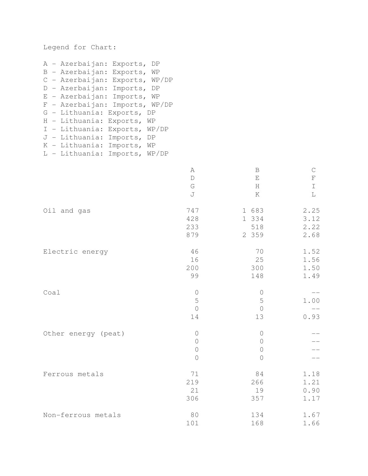| C - Azerbaijan: Exports, WP/DP<br>D - Azerbaijan: Imports, DP<br>E - Azerbaijan: Imports, WP<br>F - Azerbaijan: Imports, WP/DP<br>G - Lithuania: Exports, DP<br>H - Lithuania: Exports, WP<br>I - Lithuania: Exports, WP/DP<br>J - Lithuania: Imports, DP<br>K - Lithuania: Imports, WP<br>L - Lithuania: Imports, WP/DP |                                             |                                                |                    |
|--------------------------------------------------------------------------------------------------------------------------------------------------------------------------------------------------------------------------------------------------------------------------------------------------------------------------|---------------------------------------------|------------------------------------------------|--------------------|
|                                                                                                                                                                                                                                                                                                                          | Α                                           | B                                              | $\mathsf C$        |
|                                                                                                                                                                                                                                                                                                                          | $\mathbb D$                                 | E                                              | $\mathbf{F}% _{0}$ |
|                                                                                                                                                                                                                                                                                                                          | $\mathbb G$                                 | H                                              | $\mathbbm{I}$      |
|                                                                                                                                                                                                                                                                                                                          | $\mathbb J$                                 | K                                              | L                  |
| Oil and gas                                                                                                                                                                                                                                                                                                              | 747                                         | 1 683                                          | 2.25               |
|                                                                                                                                                                                                                                                                                                                          | 428                                         | 1 334                                          | 3.12               |
|                                                                                                                                                                                                                                                                                                                          | 233                                         | 518                                            | 2.22               |
|                                                                                                                                                                                                                                                                                                                          | 879                                         | 2 359                                          | 2.68               |
| Electric energy                                                                                                                                                                                                                                                                                                          | 46                                          | 70                                             | 1.52               |
|                                                                                                                                                                                                                                                                                                                          | 16                                          | 25                                             | 1.56               |
|                                                                                                                                                                                                                                                                                                                          | 200                                         | 300                                            | 1.50               |
|                                                                                                                                                                                                                                                                                                                          | 99                                          | 148                                            | 1.49               |
| Coal                                                                                                                                                                                                                                                                                                                     | $\circ$<br>5<br>$\sqrt{ }$<br>14            | $\bigcirc$<br>$\mathsf S$<br>$\circ$<br>13     | 1.00<br>0.93       |
| Other energy (peat)                                                                                                                                                                                                                                                                                                      | $\circ$<br>$\sqrt{a}$<br>$\circ$<br>$\circ$ | $\bigcirc$<br>$\circ$<br>$\circ$<br>$\bigcirc$ |                    |
| Ferrous metals                                                                                                                                                                                                                                                                                                           | 71                                          | 84                                             | 1.18               |
|                                                                                                                                                                                                                                                                                                                          | 219                                         | 266                                            | 1.21               |
|                                                                                                                                                                                                                                                                                                                          | 21                                          | 19                                             | 0.90               |
|                                                                                                                                                                                                                                                                                                                          | 306                                         | 357                                            | 1.17               |
| Non-ferrous metals                                                                                                                                                                                                                                                                                                       | 80                                          | 134                                            | 1.67               |
|                                                                                                                                                                                                                                                                                                                          | 101                                         | 168                                            | 1.66               |

A - Azerbaijan: Exports, DP B - Azerbaijan: Exports, WP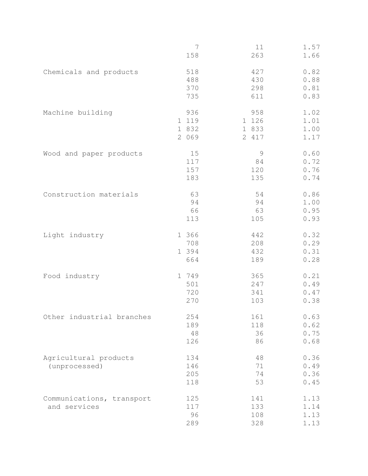|                                           | 7                        | 11                       | 1.57                         |
|-------------------------------------------|--------------------------|--------------------------|------------------------------|
|                                           | 158                      | 263                      | 1.66                         |
| Chemicals and products                    | 518                      | 427                      | 0.82                         |
|                                           | 488                      | 430                      | 0.88                         |
|                                           | 370                      | 298                      | 0.81                         |
|                                           | 735                      | 611                      | 0.83                         |
| Machine building                          | 936                      | 958                      | 1.02                         |
|                                           | 1 119                    | 1 126                    | 1.01                         |
|                                           | 1 832                    | 1 833                    | 1.00                         |
|                                           | 2 069                    | 2 417                    | 1.17                         |
| Wood and paper products                   | 15                       | $\mathcal{G}$            | 0.60                         |
|                                           | 117                      | 84                       | 0.72                         |
|                                           | 157                      | 120                      | 0.76                         |
|                                           | 183                      | 135                      | 0.74                         |
| Construction materials                    | 63                       | 54                       | 0.86                         |
|                                           | 94                       | 94                       | 1.00                         |
|                                           | 66                       | 63                       | 0.95                         |
|                                           | 113                      | 105                      | 0.93                         |
| Light industry                            | 1 366                    | 442                      | 0.32                         |
|                                           | 708                      | 208                      | 0.29                         |
|                                           | 1 394                    | 432                      | 0.31                         |
|                                           | 664                      | 189                      | 0.28                         |
| Food industry                             | 1 749                    | 365                      | 0.21                         |
|                                           | 501                      | 247                      | 0.49                         |
|                                           | 720                      | 341                      | 0.47                         |
|                                           | 270                      | 103                      | 0.38                         |
| Other industrial branches                 | 254                      | 161                      | 0.63                         |
|                                           | 189                      | 118                      | 0.62                         |
|                                           | 48                       | 36                       | 0.75                         |
|                                           | 126                      | 86                       | 0.68                         |
| Agricultural products<br>(unprocessed)    | 134<br>146<br>205<br>118 | 48<br>71<br>74<br>53     | 0.36<br>0.49<br>0.36<br>0.45 |
| Communications, transport<br>and services | 125<br>117<br>96<br>289  | 141<br>133<br>108<br>328 | 1.13<br>1.14<br>1.13<br>1.13 |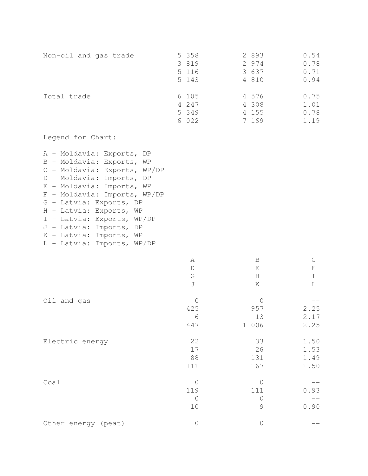| Non-oil and gas trade | 5 3 5 8 | 2 8 9 3 | 0.54 |
|-----------------------|---------|---------|------|
|                       | 3 819   | 2 974   | 0.78 |
|                       | 5 116   | 3 637   | 0.71 |
|                       | 5 1 4 3 | 4 810   | 0.94 |
| Total trade           | 6 105   | 4 576   | 0.75 |
|                       | 4 247   | 4 308   | 1.01 |
|                       | 5 349   | 4 155   | 0.78 |
|                       | 6 022   | 7 169   | 1.19 |

| A - Moldavia:<br>Exports,<br>DP  |
|----------------------------------|
| B - Moldavia:<br>Exports,<br>WP  |
| Exports, WP/DP<br>C - Moldavia:  |
| D - Moldavia: Imports, DP        |
| E - Moldavia: Imports, WP        |
| F - Moldavia: Imports, WP/DP     |
| G - Latvia: Exports, DP          |
| H - Latvia: Exports, WP          |
| I - Latvia: Exports, WP/DP       |
| J - Latvia: Imports, DP          |
| K - Latvia: Imports,<br>WP       |
| WP/DP<br>Imports,<br>L – Latvia: |
|                                  |

|                     | A           | $\mathbf B$   | С             |
|---------------------|-------------|---------------|---------------|
|                     | $\mathbb D$ | $\mathbf E$   | $\mathbf F$   |
|                     | G           | Η             | $\mathbbm{I}$ |
|                     | $\rm J$     | Κ             | $\mathbb L$   |
| Oil and gas         | $\bigcap$   | 0             |               |
|                     | 425         | 957           | 2.25          |
|                     | 6           | 13            | 2.17          |
|                     | 447         | 1 006         | 2.25          |
| Electric energy     | 22          | 33            | 1.50          |
|                     | 17          | 26            | 1.53          |
|                     | 88          | 131           | 1.49          |
|                     | 111         | 167           | 1.50          |
| Coal                | 0           | Ω             |               |
|                     | 119         | 111           | 0.93          |
|                     | $\bigcirc$  | $\circ$       |               |
|                     | 10          | $\mathcal{G}$ | 0.90          |
| Other energy (peat) | $\Omega$    | 0             |               |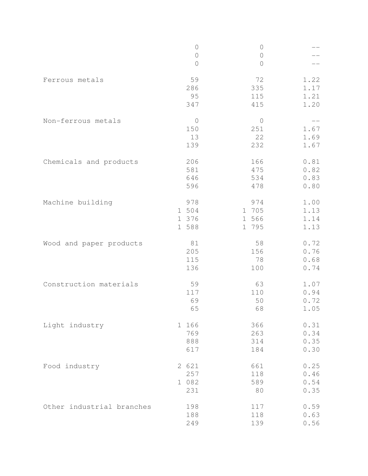|                           | $\bigcirc$<br>$\bigcirc$<br>$\bigcirc$ | $\bigcirc$<br>$\bigcirc$<br>$\bigcirc$ |                      |
|---------------------------|----------------------------------------|----------------------------------------|----------------------|
| Ferrous metals            | 59                                     | 72                                     | 1.22                 |
|                           | 286                                    | 335                                    | 1.17                 |
|                           | 95                                     | 115                                    | 1.21                 |
|                           | 347                                    | 415                                    | 1.20                 |
| Non-ferrous metals        | $\sqrt{a}$<br>150<br>13<br>139         | $\bigcirc$<br>251<br>22<br>232         | 1.67<br>1.69<br>1.67 |
| Chemicals and products    | 206                                    | 166                                    | 0.81                 |
|                           | 581                                    | 475                                    | 0.82                 |
|                           | 646                                    | 534                                    | 0.83                 |
|                           | 596                                    | 478                                    | 0.80                 |
| Machine building          | 978                                    | 974                                    | 1.00                 |
|                           | 1 504                                  | 1 705                                  | 1.13                 |
|                           | 1 376                                  | 1 566                                  | 1.14                 |
|                           | 1 588                                  | 1 795                                  | 1.13                 |
| Wood and paper products   | 81                                     | 58                                     | 0.72                 |
|                           | 205                                    | 156                                    | 0.76                 |
|                           | 115                                    | 78                                     | 0.68                 |
|                           | 136                                    | 100                                    | 0.74                 |
| Construction materials    | 59                                     | 63                                     | 1.07                 |
|                           | 117                                    | 110                                    | 0.94                 |
|                           | 69                                     | 50                                     | 0.72                 |
|                           | 65                                     | 68                                     | 1.05                 |
| Light industry            | 1 166                                  | 366                                    | 0.31                 |
|                           | 769                                    | 263                                    | 0.34                 |
|                           | 888                                    | 314                                    | 0.35                 |
|                           | 617                                    | 184                                    | 0.30                 |
| Food industry             | 2 621                                  | 661                                    | 0.25                 |
|                           | 257                                    | 118                                    | 0.46                 |
|                           | 1 082                                  | 589                                    | 0.54                 |
|                           | 231                                    | 80                                     | 0.35                 |
| Other industrial branches | 198                                    | 117                                    | 0.59                 |
|                           | 188                                    | 118                                    | 0.63                 |
|                           | 249                                    | 139                                    | 0.56                 |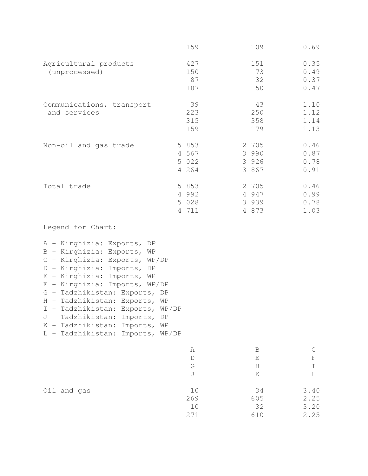|                           | 159     | 109     | 0.69 |
|---------------------------|---------|---------|------|
| Agricultural products     | 427     | 151     | 0.35 |
| (unprocessed)             | 150     | 73      | 0.49 |
|                           | 87      | 32      | 0.37 |
|                           | 107     | 50      | 0.47 |
| Communications, transport | 39      | 43      | 1.10 |
| and services              | 223     | 250     | 1.12 |
|                           | 315     | 358     | 1.14 |
|                           | 159     | 179     | 1.13 |
| Non-oil and gas trade     | 5 853   | 2 705   | 0.46 |
|                           | 4 567   | 3 990   | 0.87 |
|                           | 5 022   | 3 926   | 0.78 |
|                           | 4 264   | 3 867   | 0.91 |
| Total trade               | 5 853   | 2 705   | 0.46 |
|                           | 4 9 9 2 | 4 9 4 7 | 0.99 |
|                           | 5 028   | 3 939   | 0.78 |
|                           | 4 711   | 4 873   | 1.03 |

|  | A - Kirghizia: Exports, DP       |  |  |  |
|--|----------------------------------|--|--|--|
|  | B - Kirghizia: Exports, WP       |  |  |  |
|  | C - Kirghizia: Exports, WP/DP    |  |  |  |
|  | D - Kirghizia: Imports, DP       |  |  |  |
|  | E - Kirghizia: Imports, WP       |  |  |  |
|  | F - Kirghizia: Imports, WP/DP    |  |  |  |
|  | G - Tadzhikistan: Exports, DP    |  |  |  |
|  | H - Tadzhikistan: Exports, WP    |  |  |  |
|  | I - Tadzhikistan: Exports, WP/DP |  |  |  |
|  | J - Tadzhikistan: Imports, DP    |  |  |  |
|  | K - Tadzhikistan: Imports, WP    |  |  |  |
|  | L - Tadzhikistan: Imports, WP/DP |  |  |  |
|  |                                  |  |  |  |

|             | А<br>D<br>G<br>$\rm J$ | B<br>E<br>H<br>K | F<br>L |
|-------------|------------------------|------------------|--------|
| Oil and gas | 10                     | 34               | 3.40   |
|             | 269                    | 605              | 2.25   |
|             | 10                     | 32               | 3.20   |
|             | 271                    | 610              | 2.25   |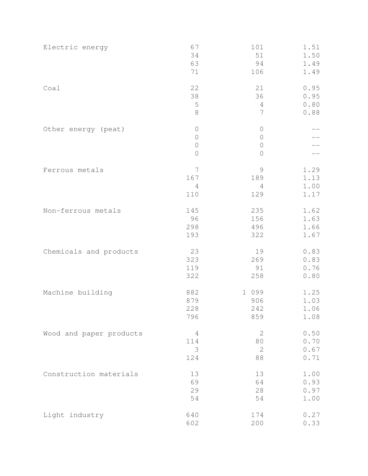| Electric energy         | 67                                                   | 101                                                  | 1.51 |
|-------------------------|------------------------------------------------------|------------------------------------------------------|------|
|                         | 34                                                   | 51                                                   | 1.50 |
|                         | 63                                                   | 94                                                   | 1.49 |
|                         | 71                                                   | 106                                                  | 1.49 |
| Coal                    | 22                                                   | 21                                                   | 0.95 |
|                         | 38                                                   | 36                                                   | 0.95 |
|                         | 5                                                    | $\overline{4}$                                       | 0.80 |
|                         | $\,8\,$                                              | $\overline{\phantom{a}}$                             | 0.88 |
| Other energy (peat)     | $\bigcirc$<br>$\bigcirc$<br>$\bigcirc$<br>$\sqrt{ }$ | $\bigcirc$<br>$\bigcirc$<br>$\bigcirc$<br>$\bigcirc$ |      |
| Ferrous metals          | 7                                                    | $\mathcal{G}$                                        | 1.29 |
|                         | 167                                                  | 189                                                  | 1.13 |
|                         | 4                                                    | 4                                                    | 1.00 |
|                         | 110                                                  | 129                                                  | 1.17 |
| Non-ferrous metals      | 145                                                  | 235                                                  | 1.62 |
|                         | 96                                                   | 156                                                  | 1.63 |
|                         | 298                                                  | 496                                                  | 1.66 |
|                         | 193                                                  | 322                                                  | 1.67 |
| Chemicals and products  | 23                                                   | 19                                                   | 0.83 |
|                         | 323                                                  | 269                                                  | 0.83 |
|                         | 119                                                  | 91                                                   | 0.76 |
|                         | 322                                                  | 258                                                  | 0.80 |
| Machine building        | 882                                                  | 1 099                                                | 1.25 |
|                         | 879                                                  | 906                                                  | 1.03 |
|                         | 228                                                  | 242                                                  | 1.06 |
|                         | 796                                                  | 859                                                  | 1.08 |
| Wood and paper products | 4                                                    | $\mathbf{2}$                                         | 0.50 |
|                         | 114                                                  | 80                                                   | 0.70 |
|                         | 3                                                    | $\sqrt{2}$                                           | 0.67 |
|                         | 124                                                  | 88                                                   | 0.71 |
| Construction materials  | 13                                                   | 13                                                   | 1.00 |
|                         | 69                                                   | 64                                                   | 0.93 |
|                         | 29                                                   | 28                                                   | 0.97 |
|                         | 54                                                   | 54                                                   | 1.00 |
| Light industry          | 640                                                  | 174                                                  | 0.27 |
|                         | 602                                                  | 200                                                  | 0.33 |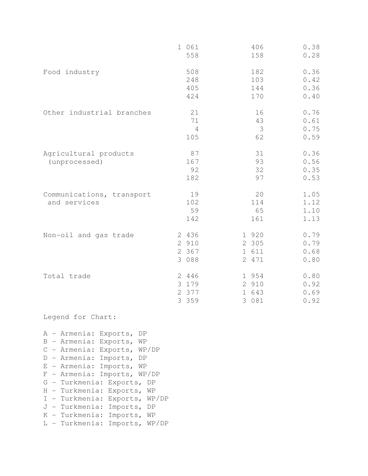|                                           | 1 061                  | 406                    | 0.38                         |
|-------------------------------------------|------------------------|------------------------|------------------------------|
|                                           | 558                    | 158                    | 0.28                         |
| Food industry                             | 508                    | 182                    | 0.36                         |
|                                           | 248                    | 103                    | 0.42                         |
|                                           | 405                    | 144                    | 0.36                         |
|                                           | 424                    | 170                    | 0.40                         |
| Other industrial branches                 | 21                     | 16                     | 0.76                         |
|                                           | 71                     | 43                     | 0.61                         |
|                                           | $\overline{4}$         | 3                      | 0.75                         |
|                                           | 105                    | 62                     | 0.59                         |
| Agricultural products<br>(unprocessed)    | 87<br>167<br>92<br>182 | 31<br>93<br>32<br>97   | 0.36<br>0.56<br>0.35<br>0.53 |
| Communications, transport<br>and services | 19<br>102<br>59<br>142 | 20<br>114<br>65<br>161 | 1.05<br>1.12<br>1.10<br>1.13 |
| Non-oil and gas trade                     | 2 436                  | 1 920                  | 0.79                         |
|                                           | 2 910                  | 2 3 0 5                | 0.79                         |
|                                           | 2 367                  | 1 611                  | 0.68                         |
|                                           | 3 088                  | 2 471                  | 0.80                         |
| Total trade                               | 2 446                  | 1 954                  | 0.80                         |
|                                           | 3 179                  | 2 910                  | 0.92                         |
|                                           | 2 377                  | 1 643                  | 0.69                         |
|                                           | 3 359                  | 3 081                  | 0.92                         |

|  | A - Armenia: Exports,<br>DP   |
|--|-------------------------------|
|  | B - Armenia: Exports, WP      |
|  | C - Armenia: Exports, WP/DP   |
|  | D - Armenia: Imports, DP      |
|  | E - Armenia: Imports, WP      |
|  | F - Armenia: Imports, WP/DP   |
|  | G - Turkmenia: Exports,<br>DP |
|  | H - Turkmenia: Exports, WP    |
|  | I - Turkmenia: Exports, WP/DP |
|  | J - Turkmenia: Imports,<br>DP |
|  | K - Turkmenia: Imports,<br>WΡ |
|  | $L$ - Turkmenia: Imports, WP/ |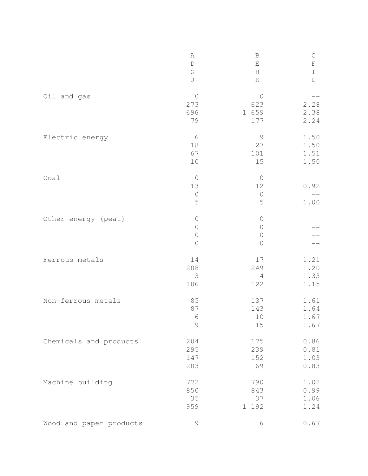|                         | A                                                 | $\, {\bf B}$                                         | $\mathsf{C}$         |
|-------------------------|---------------------------------------------------|------------------------------------------------------|----------------------|
|                         | $\mathbb D$                                       | $\mathbf E$                                          | $\overline{F}$       |
|                         | $\mathbb{G}% _{M_{1},M_{2}}^{\alpha,\beta}$       | $\rm H$                                              | $\mathbbm{I}$        |
|                         | $\rm J$                                           | K                                                    | $\mathbb L$          |
| Oil and gas             | $\circ$<br>273<br>696<br>79                       | $\bigcirc$<br>623<br>1 659<br>177                    | 2.28<br>2.38<br>2.24 |
| Electric energy         | 6                                                 | $\mathcal{G}$                                        | 1.50                 |
|                         | 18                                                | 27                                                   | 1.50                 |
|                         | 67                                                | 101                                                  | 1.51                 |
|                         | 10                                                | 15                                                   | 1.50                 |
| Coal                    | $\circ$<br>13<br>$\bigcirc$<br>5                  | $\bigcirc$<br>12<br>$\bigcirc$<br>5                  | 0.92<br>1.00         |
| Other energy (peat)     | $\bigcirc$<br>$\circ$<br>$\bigcirc$<br>$\bigcirc$ | $\bigcirc$<br>$\bigcirc$<br>$\bigcirc$<br>$\bigcirc$ |                      |
| Ferrous metals          | 14                                                | 17                                                   | 1.21                 |
|                         | 208                                               | 249                                                  | 1.20                 |
|                         | 3                                                 | $\overline{4}$                                       | 1.33                 |
|                         | 106                                               | 122                                                  | 1.15                 |
| Non-ferrous metals      | 85                                                | 137                                                  | 1.61                 |
|                         | 87                                                | 143                                                  | 1.64                 |
|                         | $\sqrt{6}$                                        | 10                                                   | 1.67                 |
|                         | $\mathcal{G}$                                     | 15                                                   | 1.67                 |
| Chemicals and products  | 204                                               | 175                                                  | 0.86                 |
|                         | 295                                               | 239                                                  | 0.81                 |
|                         | 147                                               | 152                                                  | 1.03                 |
|                         | 203                                               | 169                                                  | 0.83                 |
| Machine building        | 772                                               | 790                                                  | 1.02                 |
|                         | 850                                               | 843                                                  | 0.99                 |
|                         | 35                                                | 37                                                   | 1.06                 |
|                         | 959                                               | 1 192                                                | 1.24                 |
| Wood and paper products | $\mathcal{G}$                                     | 6                                                    | 0.67                 |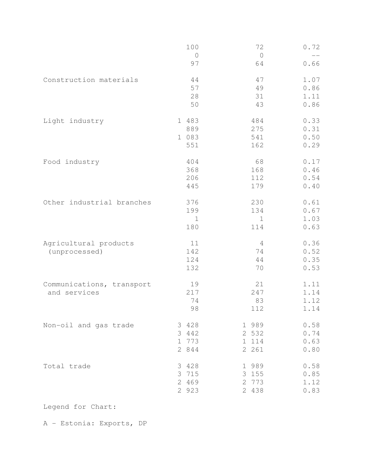|                                           | 100<br>$\bigcirc$<br>97 | 72<br>$\bigcirc$<br>64           | 0.72<br>0.66                 |
|-------------------------------------------|-------------------------|----------------------------------|------------------------------|
| Construction materials                    | 44                      | 47                               | 1.07                         |
|                                           | 57                      | 49                               | 0.86                         |
|                                           | 28                      | 31                               | 1.11                         |
|                                           | 50                      | 43                               | 0.86                         |
| Light industry                            | 1 483                   | 484                              | 0.33                         |
|                                           | 889                     | 275                              | 0.31                         |
|                                           | 1 083                   | 541                              | 0.50                         |
|                                           | 551                     | 162                              | 0.29                         |
| Food industry                             | 404                     | 68                               | 0.17                         |
|                                           | 368                     | 168                              | 0.46                         |
|                                           | 206                     | 112                              | 0.54                         |
|                                           | 445                     | 179                              | 0.40                         |
| Other industrial branches                 | 376                     | 230                              | 0.61                         |
|                                           | 199                     | 134                              | 0.67                         |
|                                           | 1                       | 1                                | 1.03                         |
|                                           | 180                     | 114                              | 0.63                         |
| Agricultural products<br>(unprocessed)    | 11<br>142<br>124<br>132 | $\overline{4}$<br>74<br>44<br>70 | 0.36<br>0.52<br>0.35<br>0.53 |
| Communications, transport<br>and services | 19<br>217<br>74<br>98   | 21<br>247<br>83<br>112           | 1.11<br>1.14<br>1.12<br>1.14 |
| Non-oil and gas trade                     | 3 428                   | 1 989                            | 0.58                         |
|                                           | 3 442                   | 2 532                            | 0.74                         |
|                                           | 1 773                   | 1 114                            | 0.63                         |
|                                           | 2 844                   | 2 261                            | 0.80                         |
| Total trade                               | 3 428                   | 1 989                            | 0.58                         |
|                                           | 3 715                   | 3 155                            | 0.85                         |
|                                           | 2 469                   | 2 773                            | 1.12                         |
|                                           | 2 923                   | 2 438                            | 0.83                         |

A - Estonia: Exports, DP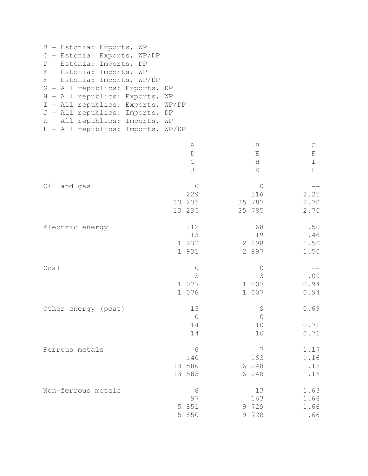| B - Estonia: Exports, WP<br>C - Estonia: Exports, WP/DP<br>D - Estonia: Imports, DP<br>E - Estonia: Imports,<br>WP<br>F - Estonia: Imports, WP/DP<br>G - All republics: Exports,<br>H - All republics: Exports,<br>I - All republics: Exports, WP/DP<br>J - All republics: Imports, DP<br>K - All republics: Imports, WP<br>L - All republics: Imports, WP/DP | DP<br>WP                           |                                           |                      |
|---------------------------------------------------------------------------------------------------------------------------------------------------------------------------------------------------------------------------------------------------------------------------------------------------------------------------------------------------------------|------------------------------------|-------------------------------------------|----------------------|
|                                                                                                                                                                                                                                                                                                                                                               | A                                  | $\mathbf B$                               | $\mathcal{C}$        |
|                                                                                                                                                                                                                                                                                                                                                               | $\mathbb D$                        | E                                         | $\mathbf{F}% _{0}$   |
|                                                                                                                                                                                                                                                                                                                                                               | G                                  | H                                         | $\mathbbm{I}$        |
|                                                                                                                                                                                                                                                                                                                                                               | $\rm J$                            | K                                         | $\mathbb L$          |
| Oil and gas                                                                                                                                                                                                                                                                                                                                                   | $\circ$<br>229<br>13 235<br>13 235 | $\bigcirc$<br>516<br>35 787<br>35 785     | 2.25<br>2.70<br>2.70 |
| Electric energy                                                                                                                                                                                                                                                                                                                                               | 112                                | 168                                       | 1.50                 |
|                                                                                                                                                                                                                                                                                                                                                               | 13                                 | 19                                        | 1.46                 |
|                                                                                                                                                                                                                                                                                                                                                               | 1 932                              | 2 8 9 8                                   | 1.50                 |
|                                                                                                                                                                                                                                                                                                                                                               | 1 931                              | 2 897                                     | 1.50                 |
| Coal                                                                                                                                                                                                                                                                                                                                                          | $\circ$<br>3<br>1 077<br>1 076     | $\circ$<br>3<br>1 007<br>1 007            | 1.00<br>0.94<br>0.94 |
| Other energy (peat)                                                                                                                                                                                                                                                                                                                                           | 13<br>$\bigcirc$<br>14<br>14       | $\mathcal{G}$<br>$\bigcirc$<br>$10$<br>10 | 0.69<br>0.71<br>0.71 |
| Ferrous metals                                                                                                                                                                                                                                                                                                                                                | 6                                  | $\overline{7}$                            | 1.17                 |
|                                                                                                                                                                                                                                                                                                                                                               | 140                                | 163                                       | 1.16                 |
|                                                                                                                                                                                                                                                                                                                                                               | 13 586                             | 16 048                                    | 1.18                 |
|                                                                                                                                                                                                                                                                                                                                                               | 13 585                             | 16 048                                    | 1.18                 |
| Non-ferrous metals                                                                                                                                                                                                                                                                                                                                            | 8                                  | 13                                        | 1.63                 |
|                                                                                                                                                                                                                                                                                                                                                               | 97                                 | 163                                       | 1.68                 |
|                                                                                                                                                                                                                                                                                                                                                               | 5 851                              | 9 729                                     | 1.66                 |
|                                                                                                                                                                                                                                                                                                                                                               | 5 850                              | 9 728                                     | 1.66                 |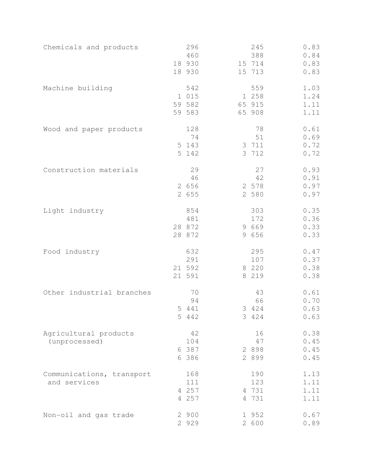| Chemicals and products                    | 296<br>460<br>18 930<br>18 930   | 245<br>388<br>15 714<br>15 713   | 0.83<br>0.84<br>0.83<br>0.83 |
|-------------------------------------------|----------------------------------|----------------------------------|------------------------------|
| Machine building                          | 542<br>1 015<br>59 582<br>59 583 | 559<br>1 258<br>65 915<br>65 908 | 1.03<br>1.24<br>1.11<br>1.11 |
| Wood and paper products                   | 128<br>74<br>5 143<br>5 142      | 78<br>51<br>3 711<br>3 712       | 0.61<br>0.69<br>0.72<br>0.72 |
| Construction materials                    | 29<br>46<br>2 656<br>2 655       | 27<br>42<br>2 578<br>2 580       | 0.93<br>0.91<br>0.97<br>0.97 |
| Light industry                            | 854<br>481<br>28 872<br>28 872   | 303<br>172<br>9 669<br>9 656     | 0.35<br>0.36<br>0.33<br>0.33 |
| Food industry                             | 632<br>291<br>21 592<br>21 591   | 295<br>107<br>8 2 2 0<br>8 219   | 0.47<br>0.37<br>0.38<br>0.38 |
| Other industrial branches                 | 70<br>94<br>5 4 4 1<br>5 4 4 2   | 43<br>66<br>3 424<br>3 424       | 0.61<br>0.70<br>0.63<br>0.63 |
| Agricultural products<br>(unprocessed)    | 42<br>104<br>6 387<br>6 386      | 16<br>47<br>2 8 9 8<br>2 899     | 0.38<br>0.45<br>0.45<br>0.45 |
| Communications, transport<br>and services | 168<br>111<br>4 257<br>4 257     | 190<br>123<br>4 731<br>4 731     | 1.13<br>1.11<br>1.11<br>1.11 |
| Non-oil and gas trade                     | 2 900<br>2 9 2 9                 | 1 952<br>2 600                   | 0.67<br>0.89                 |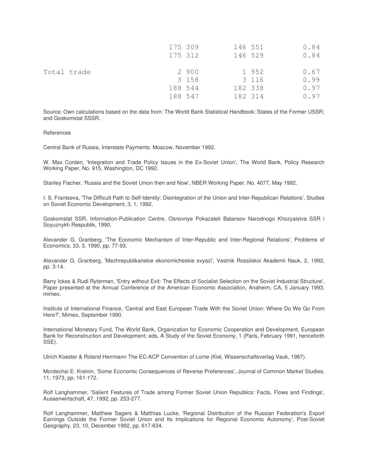|             | 175 309 |         |         | 146 551 | 0.84 |
|-------------|---------|---------|---------|---------|------|
|             | 175 312 |         | 146 529 |         | 0.84 |
| Total trade |         | 2 900   |         | 1952    | 0.67 |
|             |         | 3 158   |         | 3 116   | 0.99 |
|             | 188 544 |         |         | 182 338 | 0.97 |
|             |         | 188 547 | 182 314 |         | 0.97 |

Source: Own calculations based on the data from: The World Bank Statistical Handbook: States of the Former USSR; and Goskomstat SSSR.

#### **References**

Central Bank of Russia, Interstate Payments. Moscow, November 1992.

W. Max Corden, 'Integration and Trade Policy Issues in the Ex-Soviet Union', The World Bank, Policy Research Working Paper, No. 915, Washington, DC 1992.

Stanley Fischer, 'Russia and the Soviet Union then and Now', NBER Working Paper, No. 4077, May 1992.

I. S. Frantseva, 'The Difficult Path to Self-Identity: Disintegration of the Union and Inter-Republican Relations', Studies on Soviet Economic Development, 3, 1, 1992.

Goskomstat SSR, Information-Publication Centre, Osnovnye Pokazateli Balansov Narodnogo Khozyaistva SSR i Soyuznykh Respublik, 1990.

Alexander G. Granberg, 'The Economic Mechanism of Inter-Republic and Inter-Regional Relations', Problems of Economics, 33, 3, 1990, pp. 77-93.

Alexander G. Granberg, 'Mezhrepublikanskie ekonomicheskie svyazi', Vestnik Rossiiskoi Akademii Nauk, 2, 1992, pp. 3-14.

Barry Ickes & Rudi Ryterman, 'Entry without Exit: The Effects of Socialist Selection on the Soviet Industrial Structure', Paper presented at the Annual Conference of the American Economic Association, Anaheim, CA, 5 January 1993, mimeo.

Institute of International Finance, 'Central and East European Trade With the Soviet Union: Where Do We Go From Here?', Mimeo, September 1990.

International Monetary Fund, The World Bank, Organization for Economic Cooperation and Development, European Bank for Reconstruction and Development; eds, A Study of the Soviet Economy, 1 (Paris, February 1991, henceforth SSE).

Ulrich Koester & Roland Herrmann The EC-ACP Convention of Lome (Kiel, Wissenschaftsverlag Vauk, 1987).

Mordechai E. Kreinin, 'Some Economic Consequences of Reverse Preferences', Journal of Common Market Studies, 11, 1973, pp. 161-172.

Rolf Langhammer, 'Salient Features of Trade among Former Soviet Union Republics: Facts, Flows and Findings', Aussenwirtschaft, 47, 1992, pp. 253-277.

Rolf Langhammer, Matthew Sagers & Matthias Lucke, 'Regional Distribution of the Russian Federation's Export Earnings Outside the Former Soviet Union and Its Implications for Regional Economic Autonomy', Post-Soviet Geography, 23, 10, December 1992, pp. 617-634.